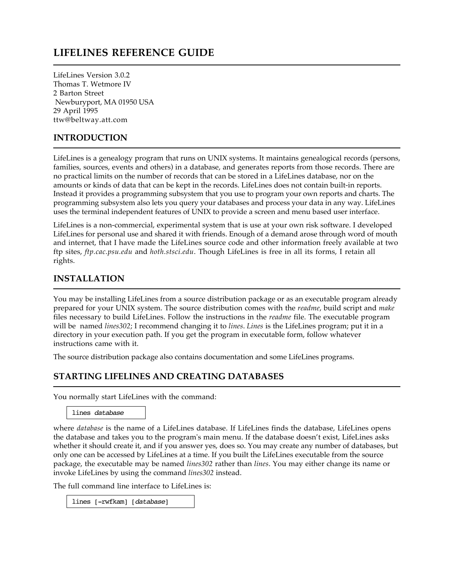# **LIFELINES REFERENCE GUIDE**

LifeLines Version 3.0.2 Thomas T. Wetmore IV 2 Barton Street Newburyport, MA 01950 USA 29 April 1995 ttw@beltway.att.com

#### **INTRODUCTION**

LifeLines is a genealogy program that runs on UNIX systems. It maintains genealogical records (persons, families, sources, events and others) in a database, and generates reports from those records. There are no practical limits on the number of records that can be stored in a LifeLines database, nor on the amounts or kinds of data that can be kept in the records. LifeLines does not contain built-in reports. Instead it provides a programming subsystem that you use to program your own reports and charts. The programming subsystem also lets you query your databases and process your data in any way. LifeLines uses the terminal independent features of UNIX to provide a screen and menu based user interface.

LifeLines is a non-commercial, experimental system that is use at your own risk software. I developed LifeLines for personal use and shared it with friends. Enough of a demand arose through word of mouth and internet, that I have made the LifeLines source code and other information freely available at two ftp sites, *ftp.cac.psu.edu* and *hoth.stsci.edu*. Though LifeLines is free in all its forms, I retain all rights.

#### **INSTALLATION**

You may be installing LifeLines from a source distribution package or as an executable program already prepared for your UNIX system. The source distribution comes with the *readme*, build script and *make* files necessary to build LifeLines. Follow the instructions in the *readme* file. The executable program will be named *lines302*; I recommend changing it to *lines*. *Lines* is the LifeLines program; put it in a directory in your execution path. If you get the program in executable form, follow whatever instructions came with it.

The source distribution package also contains documentation and some LifeLines programs.

## **STARTING LIFELINES AND CREATING DATABASES**

You normally start LifeLines with the command:

lines *database*

where *database* is the name of a LifeLines database. If LifeLines finds the database, LifeLines opens the database and takes you to the program's main menu. If the database doesn't exist, LifeLines asks whether it should create it, and if you answer yes, does so. You may create any number of databases, but only one can be accessed by LifeLines at a time. If you built the LifeLines executable from the source package, the executable may be named *lines302* rather than *lines*. You may either change its name or invoke LifeLines by using the command *lines302* instead.

The full command line interface to LifeLines is:

lines [-rwfkam] [*database*]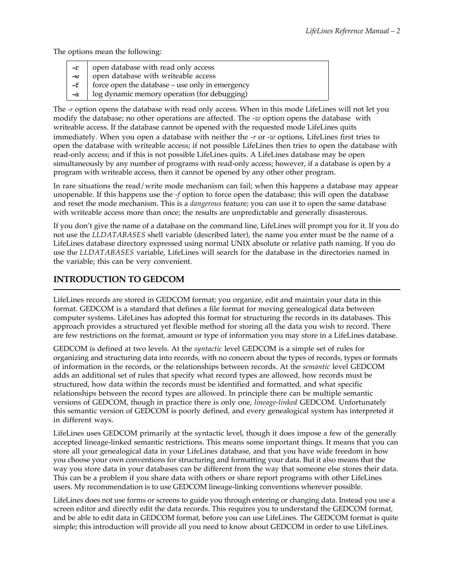The options mean the following:

| $-r$                    | open database with read only access                     |
|-------------------------|---------------------------------------------------------|
| $\overline{\mathsf{w}}$ | open database with writeable access                     |
| $-f$                    | $\vert$ force open the database – use only in emergency |
| $-a$                    | log dynamic memory operation (for debugging)            |

The *-r* option opens the database with read only access. When in this mode LifeLines will not let you modify the database; no other operations are affected. The *-w* option opens the database with writeable access. If the database cannot be opened with the requested mode LifeLines quits immediately. When you open a database with neither the *-r* or *-w* options, LifeLines first tries to open the database with writeable access; if not possible LifeLines then tries to open the database with read-only access; and if this is not possible LifeLines quits. A LifeLines database may be open simultaneously by any number of programs with read-only access; however, if a database is open by a program with writeable access, then it cannot be opened by any other other program.

In rare situations the read/write mode mechanism can fail; when this happens a database may appear unopenable. If this happens use the *-f* option to force open the database; this will open the database and reset the mode mechanism. This is a *dangerous* feature; you can use it to open the same database with writeable access more than once; the results are unpredictable and generally disasterous.

If you don't give the name of a database on the command line, LifeLines will prompt you for it. If you do not use the *LLDATABASES* shell variable (described later), the name you enter must be the name of a LifeLines database directory expressed using normal UNIX absolute or relative path naming. If you do use the *LLDATABASES* variable, LifeLines will search for the database in the directories named in the variable; this can be very convenient.

## **INTRODUCTION TO GEDCOM**

LifeLines records are stored in GEDCOM format; you organize, edit and maintain your data in this format. GEDCOM is a standard that defines a file format for moving genealogical data between computer systems. LifeLines has adopted this format for structuring the records in its databases. This approach provides a structured yet flexible method for storing all the data you wish to record. There are few restrictions on the format, amount or type of information you may store in a LifeLines database.

GEDCOM is defined at two levels. At the *syntactic* level GEDCOM is a simple set of rules for organizing and structuring data into records, with no concern about the types of records, types or formats of information in the records, or the relationships between records. At the *semantic* level GEDCOM adds an additional set of rules that specify what record types are allowed, how records must be structured, how data within the records must be identified and formatted, and what specific relationships between the record types are allowed. In principle there can be multiple semantic versions of GEDCOM, though in practice there is only one, *lineage-linked* GEDCOM. Unfortunately this semantic version of GEDCOM is poorly defined, and every genealogical system has interpreted it in different ways.

LifeLines uses GEDCOM primarily at the syntactic level, though it does impose a few of the generally accepted lineage-linked semantic restrictions. This means some important things. It means that you can store all your genealogical data in your LifeLines database, and that you have wide freedom in how you choose your own conventions for structuring and formatting your data. But it also means that the way you store data in your databases can be different from the way that someone else stores their data. This can be a problem if you share data with others or share report programs with other LifeLines users. My recommendation is to use GEDCOM lineage-linking conventions wherever possible.

LifeLines does not use forms or screens to guide you through entering or changing data. Instead you use a screen editor and directly edit the data records. This requires you to understand the GEDCOM format, and be able to edit data in GEDCOM format, before you can use LifeLines. The GEDCOM format is quite simple; this introduction will provide all you need to know about GEDCOM in order to use LifeLines.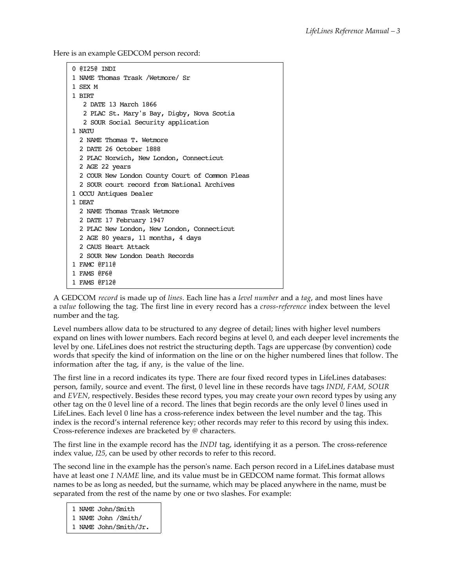Here is an example GEDCOM person record:

```
0 @I25@ INDI
1 NAME Thomas Trask /Wetmore/ Sr
1 SEX M 
1 BIRT
    2 DATE 13 March 1866
    2 PLAC St. Mary's Bay, Digby, Nova Scotia
    2 SOUR Social Security application
1 NATU
   2 NAME Thomas T. Wetmore
   2 DATE 26 October 1888
  2 PLAC Norwich, New London, Connecticut
  2 AGE 22 years
   2 COUR New London County Court of Common Pleas
   2 SOUR court record from National Archives
1 OCCU Antiques Dealer
1 DEAT
   2 NAME Thomas Trask Wetmore
   2 DATE 17 February 1947
   2 PLAC New London, New London, Connecticut
  2 AGE 80 years, 11 months, 4 days
   2 CAUS Heart Attack
   2 SOUR New London Death Records
1 FAMC @F11@
1 FAMS @F6@
1 FAMS @F12@
```
A GEDCOM *record* is made up of *lines*. Each line has a *level number* and a *tag*, and most lines have a *value* following the tag. The first line in every record has a *cross-reference* index between the level number and the tag.

Level numbers allow data to be structured to any degree of detail; lines with higher level numbers expand on lines with lower numbers. Each record begins at level 0, and each deeper level increments the level by one. LifeLines does not restrict the structuring depth. Tags are uppercase (by convention) code words that specify the kind of information on the line or on the higher numbered lines that follow. The information after the tag, if any, is the value of the line.

The first line in a record indicates its type. There are four fixed record types in LifeLines databases: person, family, source and event. The first, 0 level line in these records have tags *INDI*, *FAM*, *SOUR* and *EVEN*, respectively. Besides these record types, you may create your own record types by using any other tag on the 0 level line of a record. The lines that begin records are the only level 0 lines used in LifeLines. Each level 0 line has a cross-reference index between the level number and the tag. This index is the record's internal reference key; other records may refer to this record by using this index. Cross-reference indexes are bracketed by *@* characters.

The first line in the example record has the *INDI* tag, identifying it as a person. The cross-reference index value, *I25*, can be used by other records to refer to this record.

The second line in the example has the person's name. Each person record in a LifeLines database must have at least one *1 NAME* line, and its value must be in GEDCOM name format. This format allows names to be as long as needed, but the surname, which may be placed anywhere in the name, must be separated from the rest of the name by one or two slashes. For example:

1 NAME John/Smith

1 NAME John /Smith/

1 NAME John/Smith/Jr.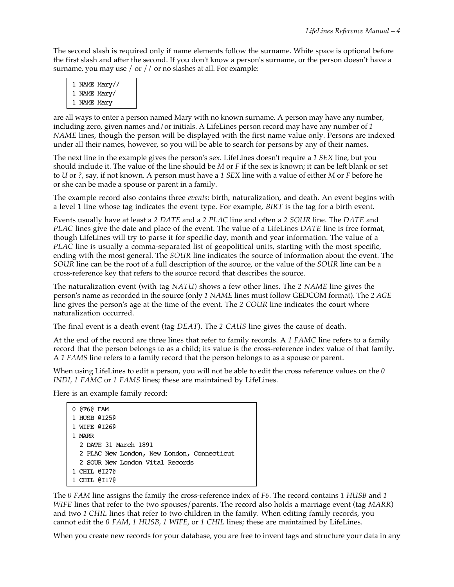The second slash is required only if name elements follow the surname. White space is optional before the first slash and after the second. If you don't know a person's surname, or the person doesn't have a surname, you may use / or // or no slashes at all. For example:

|             | 1 NAME Mary// |
|-------------|---------------|
|             | 1 NAME Mary/  |
| 1 NAME Mary |               |

are all ways to enter a person named Mary with no known surname. A person may have any number, including zero, given names and/or initials. A LifeLines person record may have any number of *1 NAME* lines, though the person will be displayed with the first name value only. Persons are indexed under all their names, however, so you will be able to search for persons by any of their names.

The next line in the example gives the person's sex. LifeLines doesn't require a *1 SEX* line, but you should include it. The value of the line should be *M* or *F* if the sex is known; it can be left blank or set to *U* or *?*, say, if not known. A person must have a *1 SEX* line with a value of either *M* or *F* before he or she can be made a spouse or parent in a family.

The example record also contains three *events*: birth, naturalization, and death. An event begins with a level 1 line whose tag indicates the event type. For example, *BIRT* is the tag for a birth event.

Events usually have at least a *2 DATE* and a *2 PLAC* line and often a *2 SOUR* line. The *DATE* and *PLAC* lines give the date and place of the event. The value of a LifeLines *DATE* line is free format, though LifeLines will try to parse it for specific day, month and year information. The value of a *PLAC* line is usually a comma-separated list of geopolitical units, starting with the most specific, ending with the most general. The *SOUR* line indicates the source of information about the event. The *SOUR* line can be the root of a full description of the source, or the value of the *SOUR* line can be a cross-reference key that refers to the source record that describes the source.

The naturalization event (with tag *NATU*) shows a few other lines. The *2 NAME* line gives the person's name as recorded in the source (only *1 NAME* lines must follow GEDCOM format). The *2 AGE* line gives the person's age at the time of the event. The *2 COUR* line indicates the court where naturalization occurred.

The final event is a death event (tag *DEAT*). The *2 CAUS* line gives the cause of death.

At the end of the record are three lines that refer to family records. A *1 FAMC* line refers to a family record that the person belongs to as a child; its value is the cross-reference index value of that family. A *1 FAMS* line refers to a family record that the person belongs to as a spouse or parent.

When using LifeLines to edit a person, you will not be able to edit the cross reference values on the *0 INDI*, *1 FAMC* or *1 FAMS* lines; these are maintained by LifeLines.

Here is an example family record:

```
0 @F6@ FAM
1 HUSB @I25@
1 WIFE @I26@
1 MARR
  2 DATE 31 March 1891
   2 PLAC New London, New London, Connecticut
   2 SOUR New London Vital Records
1 CHIL @I27@
1 CHIL @I17@
```
The *0 FAM* line assigns the family the cross-reference index of *F6*. The record contains *1 HUSB* and *1 WIFE* lines that refer to the two spouses/parents. The record also holds a marriage event (tag *MARR*) and two *1 CHIL* lines that refer to two children in the family. When editing family records, you cannot edit the *0 FAM*, *1 HUSB*, *1 WIFE*, or *1 CHIL* lines; these are maintained by LifeLines.

When you create new records for your database, you are free to invent tags and structure your data in any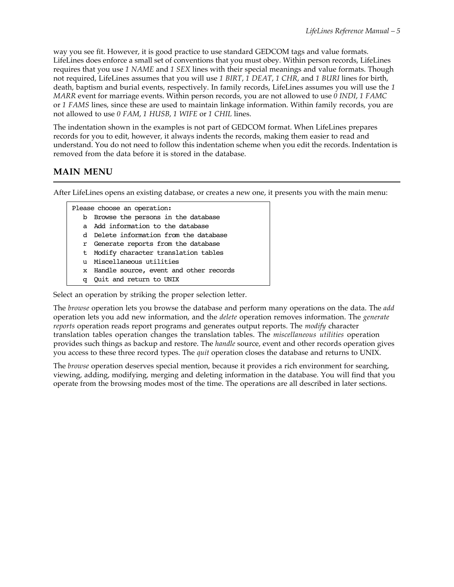way you see fit. However, it is good practice to use standard GEDCOM tags and value formats. LifeLines does enforce a small set of conventions that you must obey. Within person records, LifeLines requires that you use *1 NAME* and *1 SEX* lines with their special meanings and value formats. Though not required, LifeLines assumes that you will use *1 BIRT*, *1 DEAT*, *1 CHR*, and *1 BURI* lines for birth, death, baptism and burial events, respectively. In family records, LifeLines assumes you will use the *1 MARR* event for marriage events. Within person records, you are not allowed to use *0 INDI*, *1 FAMC* or *1 FAMS* lines, since these are used to maintain linkage information. Within family records, you are not allowed to use *0 FAM*, *1 HUSB*, *1 WIFE* or *1 CHIL* lines.

The indentation shown in the examples is not part of GEDCOM format. When LifeLines prepares records for you to edit, however, it always indents the records, making them easier to read and understand. You do not need to follow this indentation scheme when you edit the records. Indentation is removed from the data before it is stored in the database.

## **MAIN MENU**

After LifeLines opens an existing database, or creates a new one, it presents you with the main menu:

Please choose an operation:

- b Browse the persons in the database
- a Add information to the database
- d Delete information from the database
- r Generate reports from the database
- t Modify character translation tables
- u Miscellaneous utilities
- x Handle source, event and other records
- q Quit and return to UNIX

Select an operation by striking the proper selection letter.

The *browse* operation lets you browse the database and perform many operations on the data. The *add* operation lets you add new information, and the *delete* operation removes information. The *generate reports* operation reads report programs and generates output reports. The *modify* character translation tables operation changes the translation tables. The *miscellaneous utilities* operation provides such things as backup and restore. The *handle* source, event and other records operation gives you access to these three record types. The *quit* operation closes the database and returns to UNIX.

The *browse* operation deserves special mention, because it provides a rich environment for searching, viewing, adding, modifying, merging and deleting information in the database. You will find that you operate from the browsing modes most of the time. The operations are all described in later sections.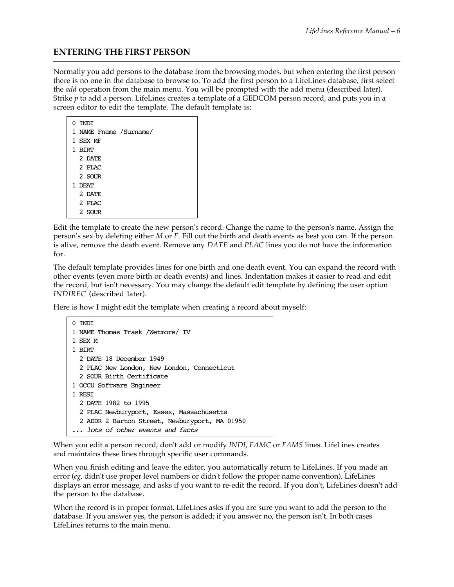## **ENTERING THE FIRST PERSON**

Normally you add persons to the database from the browsing modes, but when entering the first person there is no one in the database to browse to. To add the first person to a LifeLines database, first select the *add* operation from the main menu. You will be prompted with the add menu (described later). Strike *p* to add a person. LifeLines creates a template of a GEDCOM person record, and puts you in a screen editor to edit the template. The default template is:

| 0 INDI                 |
|------------------------|
| 1 NAME Fname /Surname/ |
| 1 SEX MF               |
| 1 BIRT                 |
| 2 DATE                 |
| $2$ PT.AC              |
| 2 SOUR                 |
| 1 DEAT                 |
| 2 DATE                 |
| 2 PLAC                 |
| 2 SOUR                 |

Edit the template to create the new person's record. Change the name to the person's name. Assign the person's sex by deleting either *M* or *F*. Fill out the birth and death events as best you can. If the person is alive, remove the death event. Remove any *DATE* and *PLAC* lines you do not have the information for.

The default template provides lines for one birth and one death event. You can expand the record with other events (even more birth or death events) and lines. Indentation makes it easier to read and edit the record, but isn't necessary. You may change the default edit template by defining the user option *INDIREC* (described later).

Here is how I might edit the template when creating a record about myself:

```
0 INDI
1 NAME Thomas Trask /Wetmore/ IV
1 SEX M
1 BIRT
  2 DATE 18 December 1949
   2 PLAC New London, New London, Connecticut
  2 SOUR Birth Certificate
1 OCCU Software Engineer
1 RESI
   2 DATE 1982 to 1995
   2 PLAC Newburyport, Essex, Massachusetts
   2 ADDR 2 Barton Street, Newburyport, MA 01950
... lots of other events and facts
```
When you edit a person record, don't add or modify *INDI*, *FAMC* or *FAMS* lines. LifeLines creates and maintains these lines through specific user commands.

When you finish editing and leave the editor, you automatically return to LifeLines. If you made an error (*eg*, didn't use proper level numbers or didn't follow the proper name convention), LifeLines displays an error message, and asks if you want to re-edit the record. If you don't, LifeLines doesn't add the person to the database.

When the record is in proper format, LifeLines asks if you are sure you want to add the person to the database. If you answer yes, the person is added; if you answer no, the person isn't. In both cases LifeLines returns to the main menu.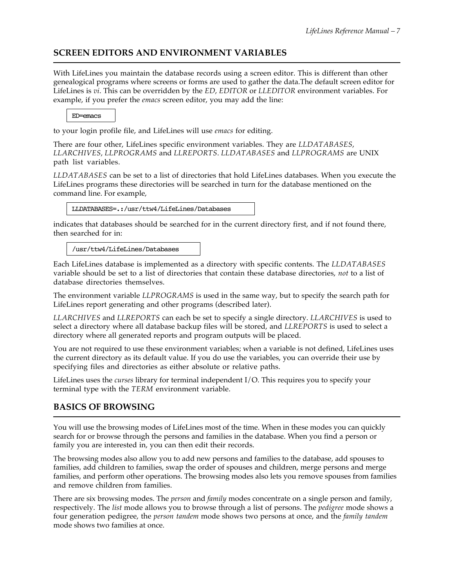## **SCREEN EDITORS AND ENVIRONMENT VARIABLES**

With LifeLines you maintain the database records using a screen editor. This is different than other genealogical programs where screens or forms are used to gather the data.The default screen editor for LifeLines is *vi*. This can be overridden by the *ED*, *EDITOR* or *LLEDITOR* environment variables. For example, if you prefer the *emacs* screen editor, you may add the line:

ED=emacs

to your login profile file, and LifeLines will use *emacs* for editing.

There are four other, LifeLines specific environment variables. They are *LLDATABASES*, *LLARCHIVES*, *LLPROGRAMS* and *LLREPORTS*. *LLDATABASES* and *LLPROGRAMS* are UNIX path list variables.

*LLDATABASES* can be set to a list of directories that hold LifeLines databases. When you execute the LifeLines programs these directories will be searched in turn for the database mentioned on the command line. For example,

LLDATABASES=.:/usr/ttw4/LifeLines/Databases

indicates that databases should be searched for in the current directory first, and if not found there, then searched for in:

/usr/ttw4/LifeLines/Databases

Each LifeLines database is implemented as a directory with specific contents. The *LLDATABASES* variable should be set to a list of directories that contain these database directories, *not* to a list of database directories themselves.

The environment variable *LLPROGRAMS* is used in the same way, but to specify the search path for LifeLines report generating and other programs (described later).

*LLARCHIVES* and *LLREPORTS* can each be set to specify a single directory. *LLARCHIVES* is used to select a directory where all database backup files will be stored, and *LLREPORTS* is used to select a directory where all generated reports and program outputs will be placed.

You are not required to use these environment variables; when a variable is not defined, LifeLines uses the current directory as its default value. If you do use the variables, you can override their use by specifying files and directories as either absolute or relative paths.

LifeLines uses the *curses* library for terminal independent I/O. This requires you to specify your terminal type with the *TERM* environment variable.

#### **BASICS OF BROWSING**

You will use the browsing modes of LifeLines most of the time. When in these modes you can quickly search for or browse through the persons and families in the database. When you find a person or family you are interested in, you can then edit their records.

The browsing modes also allow you to add new persons and families to the database, add spouses to families, add children to families, swap the order of spouses and children, merge persons and merge families, and perform other operations. The browsing modes also lets you remove spouses from families and remove children from families.

There are six browsing modes. The *person* and *family* modes concentrate on a single person and family, respectively. The *list* mode allows you to browse through a list of persons. The *pedigree* mode shows a four generation pedigree, the *person tandem* mode shows two persons at once, and the *family tandem* mode shows two families at once.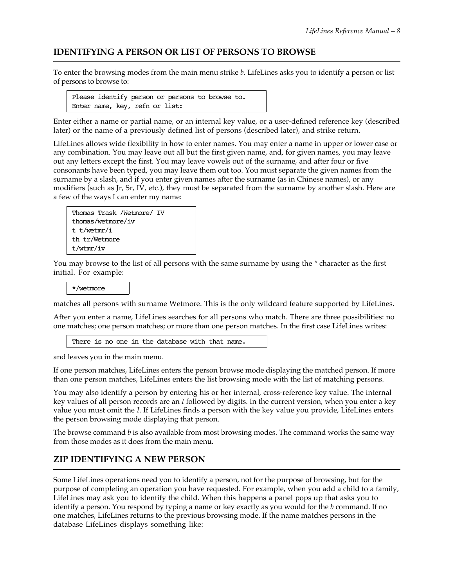#### **IDENTIFYING A PERSON OR LIST OF PERSONS TO BROWSE**

To enter the browsing modes from the main menu strike *b*. LifeLines asks you to identify a person or list of persons to browse to:

Please identify person or persons to browse to. Enter name, key, refn or list:

Enter either a name or partial name, or an internal key value, or a user-defined reference key (described later) or the name of a previously defined list of persons (described later), and strike return.

LifeLines allows wide flexibility in how to enter names. You may enter a name in upper or lower case or any combination. You may leave out all but the first given name, and, for given names, you may leave out any letters except the first. You may leave vowels out of the surname, and after four or five consonants have been typed, you may leave them out too. You must separate the given names from the surname by a slash, and if you enter given names after the surname (as in Chinese names), or any modifiers (such as Jr, Sr, IV, etc.), they must be separated from the surname by another slash. Here are a few of the ways I can enter my name:



You may browse to the list of all persons with the same surname by using the *\** character as the first initial. For example:

\*/wetmore

matches all persons with surname Wetmore. This is the only wildcard feature supported by LifeLines.

After you enter a name, LifeLines searches for all persons who match. There are three possibilities: no one matches; one person matches; or more than one person matches. In the first case LifeLines writes:

There is no one in the database with that name.

and leaves you in the main menu.

If one person matches, LifeLines enters the person browse mode displaying the matched person. If more than one person matches, LifeLines enters the list browsing mode with the list of matching persons.

You may also identify a person by entering his or her internal, cross-reference key value. The internal key values of all person records are an *I* followed by digits. In the current version, when you enter a key value you must omit the *I*. If LifeLines finds a person with the key value you provide, LifeLines enters the person browsing mode displaying that person.

The browse command *b* is also available from most browsing modes. The command works the same way from those modes as it does from the main menu.

#### **ZIP IDENTIFYING A NEW PERSON**

Some LifeLines operations need you to identify a person, not for the purpose of browsing, but for the purpose of completing an operation you have requested. For example, when you add a child to a family, LifeLines may ask you to identify the child. When this happens a panel pops up that asks you to identify a person. You respond by typing a name or key exactly as you would for the *b* command. If no one matches, LifeLines returns to the previous browsing mode. If the name matches persons in the database LifeLines displays something like: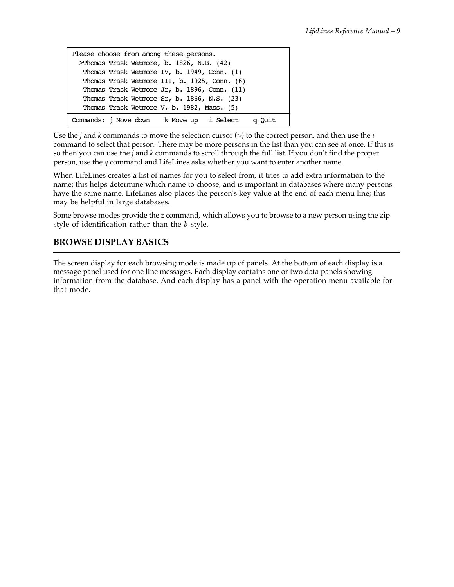| Please choose from among these persons.      |  |
|----------------------------------------------|--|
| >Thomas Trask Wetmore, b. 1826, N.B. (42)    |  |
| Thomas Trask Wetmore IV, b. 1949, Conn. (1)  |  |
| Thomas Trask Wetmore III, b. 1925, Conn. (6) |  |
| Thomas Trask Wetmore Jr, b. 1896, Conn. (11) |  |
| Thomas Trask Wetmore Sr, b. 1866, N.S. (23)  |  |
| Thomas Trask Wetmore V, b. 1982, Mass. (5)   |  |
| Commands: j Move down k Move up i Select     |  |

Use the *j* and *k* commands to move the selection cursor (*>*) to the correct person, and then use the *i* command to select that person. There may be more persons in the list than you can see at once. If this is so then you can use the *j* and *k* commands to scroll through the full list. If you don't find the proper person, use the *q* command and LifeLines asks whether you want to enter another name.

When LifeLines creates a list of names for you to select from, it tries to add extra information to the name; this helps determine which name to choose, and is important in databases where many persons have the same name. LifeLines also places the person's key value at the end of each menu line; this may be helpful in large databases.

Some browse modes provide the *z* command, which allows you to browse to a new person using the zip style of identification rather than the *b* style.

## **BROWSE DISPLAY BASICS**

The screen display for each browsing mode is made up of panels. At the bottom of each display is a message panel used for one line messages. Each display contains one or two data panels showing information from the database. And each display has a panel with the operation menu available for that mode.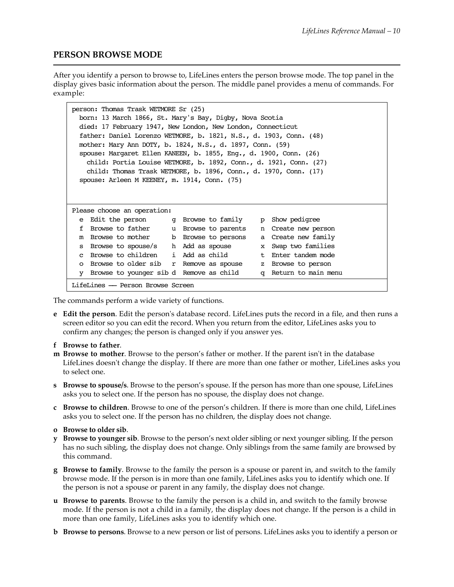#### **PERSON BROWSE MODE**

After you identify a person to browse to, LifeLines enters the person browse mode. The top panel in the display gives basic information about the person. The middle panel provides a menu of commands. For example:

| person: Thomas Trask WETMORE Sr (25)                                           |  |  |  |
|--------------------------------------------------------------------------------|--|--|--|
| born: 13 March 1866, St. Mary's Bay, Digby, Nova Scotia                        |  |  |  |
| died: 17 February 1947, New London, New London, Connecticut                    |  |  |  |
| father: Daniel Lorenzo WETMORE, b. 1821, N.S., d. 1903, Conn. (48)             |  |  |  |
| mother: Mary Ann DOTY, b. 1824, N.S., d. 1897, Conn. (59)                      |  |  |  |
| spouse: Margaret Ellen KANEEN, b. 1855, Eng., d. 1900, Conn. $(26)$            |  |  |  |
| child: Portia Louise WETMORE, b. 1892, Conn., d. 1921, Conn. $(27)$            |  |  |  |
| child: Thomas Trask WETMORE, b. 1896, Conn., d. 1970, Conn. $(17)$             |  |  |  |
| spouse: Arleen M KEENEY, m. 1914, Conn. (75)                                   |  |  |  |
|                                                                                |  |  |  |
|                                                                                |  |  |  |
| Please choose an operation:                                                    |  |  |  |
| Edit the person<br>q Browse to family p Show pedigree<br>e                     |  |  |  |
| Browse to father<br>f<br>u Browse to parents n Create new person               |  |  |  |
| Browse to mother<br>a Create new family<br>b Browse to persons<br>m            |  |  |  |
|                                                                                |  |  |  |
| Browse to spouse/s h Add as spouse<br>Swap two families<br>x<br>s              |  |  |  |
| i Add as child<br>Browse to children<br>Enter tandem mode<br>t.<br>$\mathbf C$ |  |  |  |
| Browse to older sib<br>r Remove as spouse<br>z Browse to person<br>$\Omega$    |  |  |  |
| q Return to main menu<br>Browse to younger sib d Remove as child<br>v          |  |  |  |

The commands perform a wide variety of functions.

- **e Edit the person**. Edit the person's database record. LifeLines puts the record in a file, and then runs a screen editor so you can edit the record. When you return from the editor, LifeLines asks you to confirm any changes; the person is changed only if you answer yes.
- **f Browse to father**.
- **m Browse to mother**. Browse to the person's father or mother. If the parent isn't in the database LifeLines doesn't change the display. If there are more than one father or mother, LifeLines asks you to select one.
- **s Browse to spouse/s**. Browse to the person's spouse. If the person has more than one spouse, LifeLines asks you to select one. If the person has no spouse, the display does not change.
- **c Browse to children**. Browse to one of the person's children. If there is more than one child, LifeLines asks you to select one. If the person has no children, the display does not change.
- **o Browse to older sib**.
- **y Browse to younger sib**. Browse to the person's next older sibling or next younger sibling. If the person has no such sibling, the display does not change. Only siblings from the same family are browsed by this command.
- **g Browse to family**. Browse to the family the person is a spouse or parent in, and switch to the family browse mode. If the person is in more than one family, LifeLines asks you to identify which one. If the person is not a spouse or parent in any family, the display does not change.
- **u Browse to parents**. Browse to the family the person is a child in, and switch to the family browse mode. If the person is not a child in a family, the display does not change. If the person is a child in more than one family, LifeLines asks you to identify which one.
- **b Browse to persons**. Browse to a new person or list of persons. LifeLines asks you to identify a person or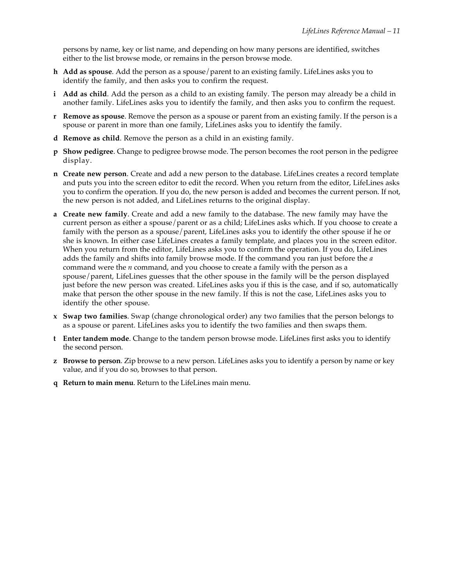persons by name, key or list name, and depending on how many persons are identified, switches either to the list browse mode, or remains in the person browse mode.

- **h Add as spouse**. Add the person as a spouse/parent to an existing family. LifeLines asks you to identify the family, and then asks you to confirm the request.
- **i Add as child**. Add the person as a child to an existing family. The person may already be a child in another family. LifeLines asks you to identify the family, and then asks you to confirm the request.
- **r Remove as spouse**. Remove the person as a spouse or parent from an existing family. If the person is a spouse or parent in more than one family, LifeLines asks you to identify the family.
- **d Remove as child**. Remove the person as a child in an existing family.
- **p Show pedigree**. Change to pedigree browse mode. The person becomes the root person in the pedigree display.
- **n Create new person**. Create and add a new person to the database. LifeLines creates a record template and puts you into the screen editor to edit the record. When you return from the editor, LifeLines asks you to confirm the operation. If you do, the new person is added and becomes the current person. If not, the new person is not added, and LifeLines returns to the original display.
- **a Create new family**. Create and add a new family to the database. The new family may have the current person as either a spouse/parent or as a child; LifeLines asks which. If you choose to create a family with the person as a spouse/parent, LifeLines asks you to identify the other spouse if he or she is known. In either case LifeLines creates a family template, and places you in the screen editor. When you return from the editor, LifeLines asks you to confirm the operation. If you do, LifeLines adds the family and shifts into family browse mode. If the command you ran just before the *a* command were the *n* command, and you choose to create a family with the person as a spouse/parent, LifeLines guesses that the other spouse in the family will be the person displayed just before the new person was created. LifeLines asks you if this is the case, and if so, automatically make that person the other spouse in the new family. If this is not the case, LifeLines asks you to identify the other spouse.
- **x Swap two families**. Swap (change chronological order) any two families that the person belongs to as a spouse or parent. LifeLines asks you to identify the two families and then swaps them.
- **t Enter tandem mode**. Change to the tandem person browse mode. LifeLines first asks you to identify the second person.
- **z Browse to person**. Zip browse to a new person. LifeLines asks you to identify a person by name or key value, and if you do so, browses to that person.
- **q Return to main menu**. Return to the LifeLines main menu.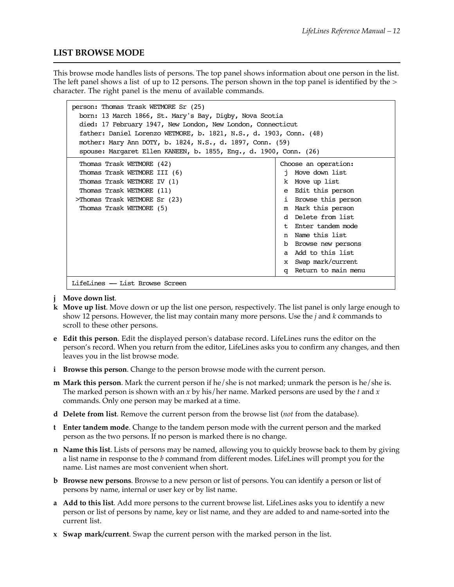#### **LIST BROWSE MODE**

This browse mode handles lists of persons. The top panel shows information about one person in the list. The left panel shows a list of up to 12 persons. The person shown in the top panel is identified by the *>* character. The right panel is the menu of available commands.

| person: Thomas Trask WETMORE Sr (25)<br>born: 13 March 1866, St. Mary's Bay, Digby, Nova Scotia<br>died: 17 February 1947, New London, New London, Connecticut<br>father: Daniel Lorenzo WETMORE, b. 1821, N.S., d. 1903, Conn. (48)<br>mother: Mary Ann DOTY, b. 1824, N.S., d. 1897, Conn. (59)<br>spouse: Margaret Ellen KANEEN, b. 1855, Eng., d. 1900, Conn. (26) |                                   |
|------------------------------------------------------------------------------------------------------------------------------------------------------------------------------------------------------------------------------------------------------------------------------------------------------------------------------------------------------------------------|-----------------------------------|
| Thomas Trask WETMORE (42)                                                                                                                                                                                                                                                                                                                                              | Choose an operation:              |
| Thomas Trask WETMORE III (6)                                                                                                                                                                                                                                                                                                                                           | Move down list                    |
| Thomas Trask WETMORE IV (1)                                                                                                                                                                                                                                                                                                                                            | k Move up list                    |
| Thomas Trask WETMORE (11)                                                                                                                                                                                                                                                                                                                                              | Edit this person<br>e             |
| >Thomas Trask WETMORE Sr (23)                                                                                                                                                                                                                                                                                                                                          | i Browse this person              |
| Thomas Trask WETMORE (5)                                                                                                                                                                                                                                                                                                                                               | Mark this person<br>m             |
|                                                                                                                                                                                                                                                                                                                                                                        | d Delete from list                |
|                                                                                                                                                                                                                                                                                                                                                                        | Enter tandem mode<br>$^+$         |
|                                                                                                                                                                                                                                                                                                                                                                        | n Name this list                  |
|                                                                                                                                                                                                                                                                                                                                                                        | Browse new persons<br>b           |
|                                                                                                                                                                                                                                                                                                                                                                        | a Add to this list                |
|                                                                                                                                                                                                                                                                                                                                                                        | Swap mark/current<br>$\mathbf{x}$ |
|                                                                                                                                                                                                                                                                                                                                                                        | Return to main menu<br>α          |
| LifeLines - List Browse Screen                                                                                                                                                                                                                                                                                                                                         |                                   |

- **j Move down list**.
- **k Move up list**. Move down or up the list one person, respectively. The list panel is only large enough to show 12 persons. However, the list may contain many more persons. Use the *j* and *k* commands to scroll to these other persons.
- **e Edit this person**. Edit the displayed person's database record. LifeLines runs the editor on the person's record. When you return from the editor, LifeLines asks you to confirm any changes, and then leaves you in the list browse mode.
- **i Browse this person**. Change to the person browse mode with the current person.
- **m Mark this person**. Mark the current person if he/she is not marked; unmark the person is he/she is. The marked person is shown with an *x* by his/her name. Marked persons are used by the *t* and *x* commands. Only one person may be marked at a time.
- **d Delete from list**. Remove the current person from the browse list (*not* from the database).
- **t Enter tandem mode**. Change to the tandem person mode with the current person and the marked person as the two persons. If no person is marked there is no change.
- **n Name this list**. Lists of persons may be named, allowing you to quickly browse back to them by giving a list name in response to the *b* command from different modes. LifeLines will prompt you for the name. List names are most convenient when short.
- **b Browse new persons**. Browse to a new person or list of persons. You can identify a person or list of persons by name, internal or user key or by list name.
- **a Add to this list**. Add more persons to the current browse list. LifeLines asks you to identify a new person or list of persons by name, key or list name, and they are added to and name-sorted into the current list.
- **x Swap mark/current**. Swap the current person with the marked person in the list.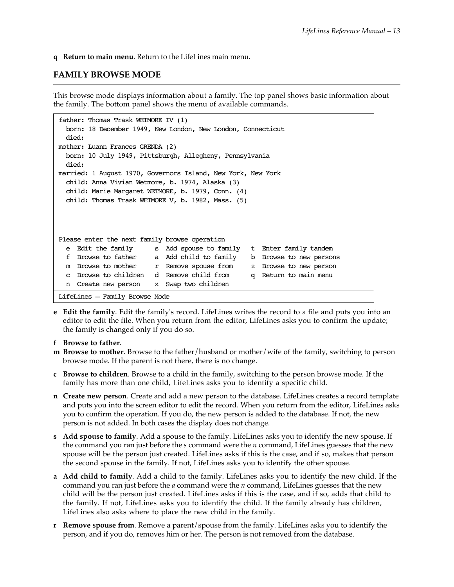**q Return to main menu**. Return to the LifeLines main menu.

#### **FAMILY BROWSE MODE**

This browse mode displays information about a family. The top panel shows basic information about the family. The bottom panel shows the menu of available commands.

```
father: Thomas Trask WETMORE IV (1)
  born: 18 December 1949, New London, New London, Connecticut
  died:
mother: Luann Frances GRENDA (2)
  born: 10 July 1949, Pittsburgh, Allegheny, Pennsylvania
  died:
married: 1 August 1970, Governors Island, New York, New York
  child: Anna Vivian Wetmore, b. 1974, Alaska (3)
  child: Marie Margaret WETMORE, b. 1979, Conn. (4)
  child: Thomas Trask WETMORE V, b. 1982, Mass. (5)
Please enter the next family browse operation
  e Edit the family s Add spouse to family t Enter family tandem
  f Browse to father a Add child to family b Browse to new persons
 m Browse to mother r Remove spouse from z Browse to new person
  c Browse to children d Remove child from q Return to main menu
  n Create new person x Swap two children
LifeLines – Family Browse Mode
```
**e Edit the family**. Edit the family's record. LifeLines writes the record to a file and puts you into an editor to edit the file. When you return from the editor, LifeLines asks you to confirm the update; the family is changed only if you do so.

#### **f Browse to father**.

- **m Browse to mother**. Browse to the father/husband or mother/wife of the family, switching to person browse mode. If the parent is not there, there is no change.
- **c Browse to children**. Browse to a child in the family, switching to the person browse mode. If the family has more than one child, LifeLines asks you to identify a specific child.
- **n Create new person**. Create and add a new person to the database. LifeLines creates a record template and puts you into the screen editor to edit the record. When you return from the editor, LifeLines asks you to confirm the operation. If you do, the new person is added to the database. If not, the new person is not added. In both cases the display does not change.
- **s Add spouse to family**. Add a spouse to the family. LifeLines asks you to identify the new spouse. If the command you ran just before the *s* command were the *n* command, LifeLines guesses that the new spouse will be the person just created. LifeLines asks if this is the case, and if so, makes that person the second spouse in the family. If not, LifeLines asks you to identify the other spouse.
- **a Add child to family**. Add a child to the family. LifeLines asks you to identify the new child. If the command you ran just before the *a* command were the *n* command, LifeLines guesses that the new child will be the person just created. LifeLines asks if this is the case, and if so, adds that child to the family. If not, LifeLines asks you to identify the child. If the family already has children, LifeLines also asks where to place the new child in the family.
- **r Remove spouse from**. Remove a parent/spouse from the family. LifeLines asks you to identify the person, and if you do, removes him or her. The person is not removed from the database.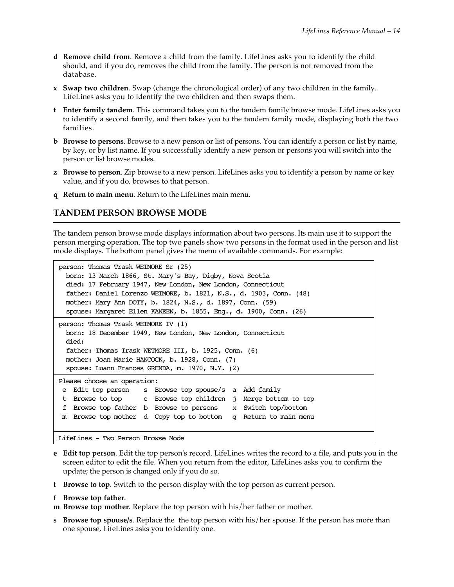- **d Remove child from**. Remove a child from the family. LifeLines asks you to identify the child should, and if you do, removes the child from the family. The person is not removed from the database.
- **x Swap two children**. Swap (change the chronological order) of any two children in the family. LifeLines asks you to identify the two children and then swaps them.
- **t Enter family tandem**. This command takes you to the tandem family browse mode. LifeLines asks you to identify a second family, and then takes you to the tandem family mode, displaying both the two families.
- **b Browse to persons**. Browse to a new person or list of persons. You can identify a person or list by name, by key, or by list name. If you successfully identify a new person or persons you will switch into the person or list browse modes.
- **z Browse to person**. Zip browse to a new person. LifeLines asks you to identify a person by name or key value, and if you do, browses to that person.
- **q Return to main menu**. Return to the LifeLines main menu.

#### **TANDEM PERSON BROWSE MODE**

The tandem person browse mode displays information about two persons. Its main use it to support the person merging operation. The top two panels show two persons in the format used in the person and list mode displays. The bottom panel gives the menu of available commands. For example:

```
person: Thomas Trask WETMORE Sr (25)
  born: 13 March 1866, St. Mary's Bay, Digby, Nova Scotia
  died: 17 February 1947, New London, New London, Connecticut
  father: Daniel Lorenzo WETMORE, b. 1821, N.S., d. 1903, Conn. (48)
  mother: Mary Ann DOTY, b. 1824, N.S., d. 1897, Conn. (59)
  spouse: Margaret Ellen KANEEN, b. 1855, Eng., d. 1900, Conn. (26)
person: Thomas Trask WETMORE IV (1)
  born: 18 December 1949, New London, New London, Connecticut
  died: 
  father: Thomas Trask WETMORE III, b. 1925, Conn. (6)
  mother: Joan Marie HANCOCK, b. 1928, Conn. (7)
  spouse: Luann Frances GRENDA, m. 1970, N.Y. (2)
Please choose an operation:
 e Edit top person s Browse top spouse/s a Add family
  t Browse to top c Browse top children j Merge bottom to top
  f Browse top father b Browse to persons x Switch top/bottom
 m Browse top mother d Copy top to bottom q Return to main menu
LifeLines - Two Person Browse Mode
```
- **e Edit top person**. Edit the top person's record. LifeLines writes the record to a file, and puts you in the screen editor to edit the file. When you return from the editor, LifeLines asks you to confirm the update; the person is changed only if you do so.
- **t Browse to top**. Switch to the person display with the top person as current person.
- **f Browse top father**.

**m Browse top mother**. Replace the top person with his/her father or mother.

**s Browse top spouse/s**. Replace the the top person with his/her spouse. If the person has more than one spouse, LifeLines asks you to identify one.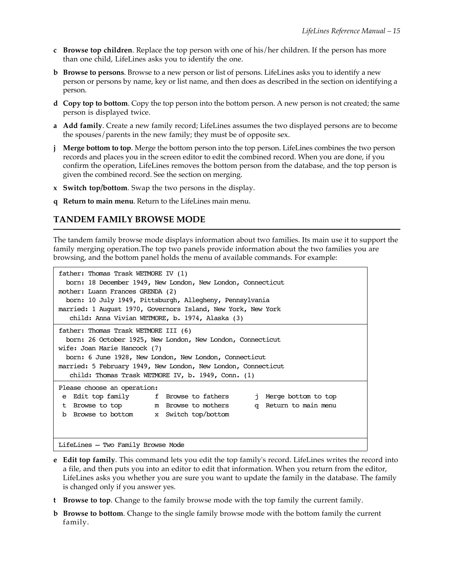- **c Browse top children**. Replace the top person with one of his/her children. If the person has more than one child, LifeLines asks you to identify the one.
- **b Browse to persons**. Browse to a new person or list of persons. LifeLines asks you to identify a new person or persons by name, key or list name, and then does as described in the section on identifying a person.
- **d Copy top to bottom**. Copy the top person into the bottom person. A new person is not created; the same person is displayed twice.
- **a Add family**. Create a new family record; LifeLines assumes the two displayed persons are to become the spouses/parents in the new family; they must be of opposite sex.
- **j Merge bottom to top**. Merge the bottom person into the top person. LifeLines combines the two person records and places you in the screen editor to edit the combined record. When you are done, if you confirm the operation, LifeLines removes the bottom person from the database, and the top person is given the combined record. See the section on merging.
- **x Switch top/bottom**. Swap the two persons in the display.
- **q Return to main menu**. Return to the LifeLines main menu.

#### **TANDEM FAMILY BROWSE MODE**

The tandem family browse mode displays information about two families. Its main use it to support the family merging operation.The top two panels provide information about the two families you are browsing, and the bottom panel holds the menu of available commands. For example:

```
father: Thomas Trask WETMORE IV (1)
   born: 18 December 1949, New London, New London, Connecticut
mother: Luann Frances GRENDA (2)
  born: 10 July 1949, Pittsburgh, Allegheny, Pennsylvania
married: 1 August 1970, Governors Island, New York, New York
    child: Anna Vivian WETMORE, b. 1974, Alaska (3)
father: Thomas Trask WETMORE III (6)
  born: 26 October 1925, New London, New London, Connecticut
wife: Joan Marie Hancock (7)
  born: 6 June 1928, New London, New London, Connecticut
married: 5 February 1949, New London, New London, Connecticut
    child: Thomas Trask WETMORE IV, b. 1949, Conn. (1)
Please choose an operation:
e Edit top family f Browse to fathers i Merge bottom to top
t Browse to top m Browse to mothers q Return to main menu
  b Browse to bottom x Switch top/bottom
LifeLines – Two Family Browse Mode
```
- **e Edit top family**. This command lets you edit the top family's record. LifeLines writes the record into a file, and then puts you into an editor to edit that information. When you return from the editor, LifeLines asks you whether you are sure you want to update the family in the database. The family is changed only if you answer yes.
- **t Browse to top**. Change to the family browse mode with the top family the current family.
- **b Browse to bottom**. Change to the single family browse mode with the bottom family the current family.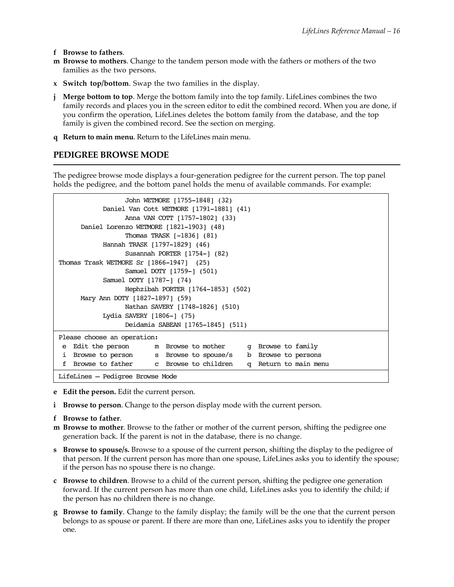**f Browse to fathers**.

- **m Browse to mothers**. Change to the tandem person mode with the fathers or mothers of the two families as the two persons.
- **x Switch top/bottom**. Swap the two families in the display.
- **j Merge bottom to top**. Merge the bottom family into the top family. LifeLines combines the two family records and places you in the screen editor to edit the combined record. When you are done, if you confirm the operation, LifeLines deletes the bottom family from the database, and the top family is given the combined record. See the section on merging.
- **q Return to main menu**. Return to the LifeLines main menu.

## **PEDIGREE BROWSE MODE**

The pedigree browse mode displays a four-generation pedigree for the current person. The top panel holds the pedigree, and the bottom panel holds the menu of available commands. For example:

| John WETMORE [1755-1848] (32)                                                 |  |  |
|-------------------------------------------------------------------------------|--|--|
| Daniel Van Cott WETMORE [1791-1881] (41)                                      |  |  |
| Anna VAN COTT [1757-1802] (33)                                                |  |  |
| Daniel Lorenzo WETMORE [1821-1903] (48)                                       |  |  |
| Thomas TRASK $[-1836]$ (81)                                                   |  |  |
| Hannah TRASK [1797-1829] (46)                                                 |  |  |
| Susannah PORTER $[1754-]$ (82)                                                |  |  |
| Thomas Trask WETMORE Sr $[1866-1947]$ (25)                                    |  |  |
| Samuel DOTY [1759-] (501)                                                     |  |  |
| Samuel DOTY [1787-] (74)                                                      |  |  |
| Hephzibah PORTER [1764-1853] (502)                                            |  |  |
| Mary Ann DOTY [1827-1897] (59)                                                |  |  |
| Nathan SAVERY [1748-1826] (510)                                               |  |  |
| Lydia SAVERY [1806-] (75)                                                     |  |  |
| Deidamia SABEAN [1765-1845] (511)                                             |  |  |
|                                                                               |  |  |
| Please choose an operation:                                                   |  |  |
| Edit the person in Browse to mother ight Browse to family<br>e                |  |  |
| Browse to person s Browse to spouse/s b Browse to persons<br>ı                |  |  |
| Browse to father c Browse to children<br>Return to main menu<br>f<br>$\sigma$ |  |  |
| LifeLines - Pedigree Browse Mode                                              |  |  |

- **e Edit the person.** Edit the current person.
- **i Browse to person**. Change to the person display mode with the current person.
- **f Browse to father**.
- **m Browse to mother**. Browse to the father or mother of the current person, shifting the pedigree one generation back. If the parent is not in the database, there is no change.
- **s Browse to spouse/s.** Browse to a spouse of the current person, shifting the display to the pedigree of that person. If the current person has more than one spouse, LifeLines asks you to identify the spouse; if the person has no spouse there is no change.
- **c Browse to children**. Browse to a child of the current person, shifting the pedigree one generation forward. If the current person has more than one child, LifeLines asks you to identify the child; if the person has no children there is no change.
- **g Browse to family**. Change to the family display; the family will be the one that the current person belongs to as spouse or parent. If there are more than one, LifeLines asks you to identify the proper one.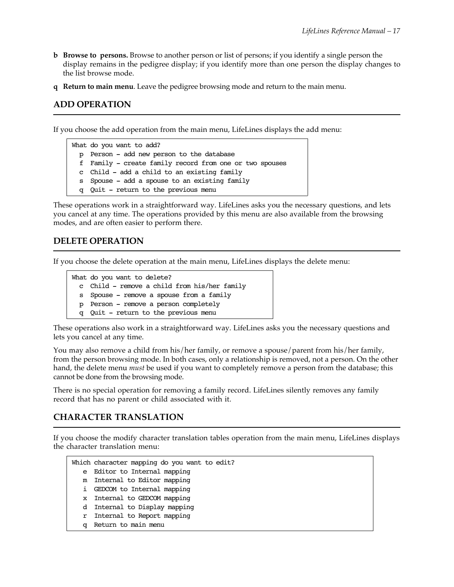- **b Browse to persons.** Browse to another person or list of persons; if you identify a single person the display remains in the pedigree display; if you identify more than one person the display changes to the list browse mode.
- **q Return to main menu**. Leave the pedigree browsing mode and return to the main menu.

#### **ADD OPERATION**

If you choose the add operation from the main menu, LifeLines displays the add menu:

What do you want to add? p Person - add new person to the database f Family - create family record from one or two spouses c Child - add a child to an existing family s Spouse - add a spouse to an existing family q Quit - return to the previous menu

These operations work in a straightforward way. LifeLines asks you the necessary questions, and lets you cancel at any time. The operations provided by this menu are also available from the browsing modes, and are often easier to perform there.

#### **DELETE OPERATION**

If you choose the delete operation at the main menu, LifeLines displays the delete menu:

```
What do you want to delete?
  c Child - remove a child from his/her family
  s Spouse - remove a spouse from a family
  p Person - remove a person completely
  q Quit - return to the previous menu
```
These operations also work in a straightforward way. LifeLines asks you the necessary questions and lets you cancel at any time.

You may also remove a child from his/her family, or remove a spouse/parent from his/her family, from the person browsing mode. In both cases, only a relationship is removed, not a person. On the other hand, the delete menu *must* be used if you want to completely remove a person from the database; this cannot be done from the browsing mode.

There is no special operation for removing a family record. LifeLines silently removes any family record that has no parent or child associated with it.

#### **CHARACTER TRANSLATION**

If you choose the modify character translation tables operation from the main menu, LifeLines displays the character translation menu:

|    | Which character mapping do you want to edit? |
|----|----------------------------------------------|
|    | e Editor to Internal mapping                 |
|    | m Internal to Editor mapping                 |
| i. | GEDCOM to Internal mapping                   |
|    | x Internal to GEDCOM mapping                 |
|    | d Internal to Display mapping                |
|    | r Internal to Report mapping                 |
| α  | Return to main menu                          |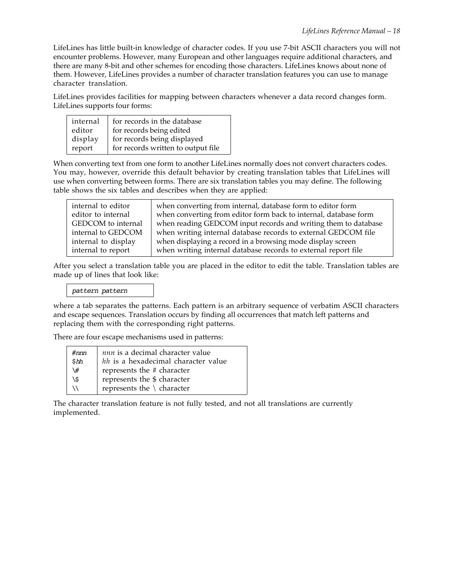LifeLines has little built-in knowledge of character codes. If you use 7-bit ASCII characters you will not encounter problems. However, many European and other languages require additional characters, and there are many 8-bit and other schemes for encoding those characters. LifeLines knows about none of them. However, LifeLines provides a number of character translation features you can use to manage character translation.

LifeLines provides facilities for mapping between characters whenever a data record changes form. LifeLines supports four forms:

| internal | for records in the database        |
|----------|------------------------------------|
| editor   | for records being edited           |
| display  | for records being displayed        |
| report   | for records written to output file |

When converting text from one form to another LifeLines normally does not convert characters codes. You may, however, override this default behavior by creating translation tables that LifeLines will use when converting between forms. There are six translation tables you may define. The following table shows the six tables and describes when they are applied:

| internal to editor  | when converting from internal, database form to editor form      |
|---------------------|------------------------------------------------------------------|
| editor to internal  | when converting from editor form back to internal, database form |
| GEDCOM to internal  | when reading GEDCOM input records and writing them to database   |
| internal to GEDCOM  | when writing internal database records to external GEDCOM file   |
| internal to display | when displaying a record in a browsing mode display screen       |
| internal to report  | when writing internal database records to external report file   |

After you select a translation table you are placed in the editor to edit the table. Translation tables are made up of lines that look like:

*pattern pattern*

where a tab separates the patterns. Each pattern is an arbitrary sequence of verbatim ASCII characters and escape sequences. Translation occurs by finding all occurrences that match left patterns and replacing them with the corresponding right patterns.

There are four escape mechanisms used in patterns:

| $\#nm$ | nnn is a decimal character value     |
|--------|--------------------------------------|
| \$hh   | hh is a hexadecimal character value  |
| ∖#     | represents the # character           |
| ۱\$    | represents the \$ character          |
| ハ      | represents the $\setminus$ character |

The character translation feature is not fully tested, and not all translations are currently implemented.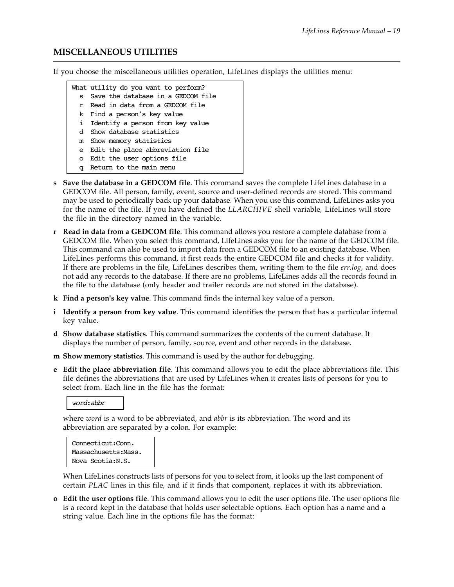## **MISCELLANEOUS UTILITIES**

If you choose the miscellaneous utilities operation, LifeLines displays the utilities menu:

|              | What utility do you want to perform? |
|--------------|--------------------------------------|
| $\mathbf{s}$ | Save the database in a GEDCOM file   |
|              | r Read in data from a GEDCOM file    |
|              | k Find a person's key value          |
|              | i Identify a person from key value   |
| d.           | Show database statistics             |
|              | m Show memory statistics             |
|              | e Edit the place abbreviation file   |
|              | o Edit the user options file         |
| α            | Return to the main menu              |

- **s Save the database in a GEDCOM file**. This command saves the complete LifeLines database in a GEDCOM file. All person, family, event, source and user-defined records are stored. This command may be used to periodically back up your database. When you use this command, LifeLines asks you for the name of the file. If you have defined the *LLARCHIVE* shell variable, LifeLines will store the file in the directory named in the variable.
- **r Read in data from a GEDCOM file**. This command allows you restore a complete database from a GEDCOM file. When you select this command, LifeLines asks you for the name of the GEDCOM file. This command can also be used to import data from a GEDCOM file to an existing database. When LifeLines performs this command, it first reads the entire GEDCOM file and checks it for validity. If there are problems in the file, LifeLines describes them, writing them to the file *err.log*, and does not add any records to the database. If there are no problems, LifeLines adds all the records found in the file to the database (only header and trailer records are not stored in the database).
- **k Find a person's key value**. This command finds the internal key value of a person.
- **i Identify a person from key value**. This command identifies the person that has a particular internal key value.
- **d Show database statistics**. This command summarizes the contents of the current database. It displays the number of person, family, source, event and other records in the database.
- **m Show memory statistics**. This command is used by the author for debugging.
- **e Edit the place abbreviation file**. This command allows you to edit the place abbreviations file. This file defines the abbreviations that are used by LifeLines when it creates lists of persons for you to select from. Each line in the file has the format:

#### *word*:*abbr*

where *word* is a word to be abbreviated, and *abbr* is its abbreviation. The word and its abbreviation are separated by a colon. For example:

```
Connecticut:Conn.
Massachusetts:Mass.
Nova Scotia:N.S.
```
When LifeLines constructs lists of persons for you to select from, it looks up the last component of certain *PLAC* lines in this file, and if it finds that component, replaces it with its abbreviation.

**o Edit the user options file**. This command allows you to edit the user options file. The user options file is a record kept in the database that holds user selectable options. Each option has a name and a string value. Each line in the options file has the format: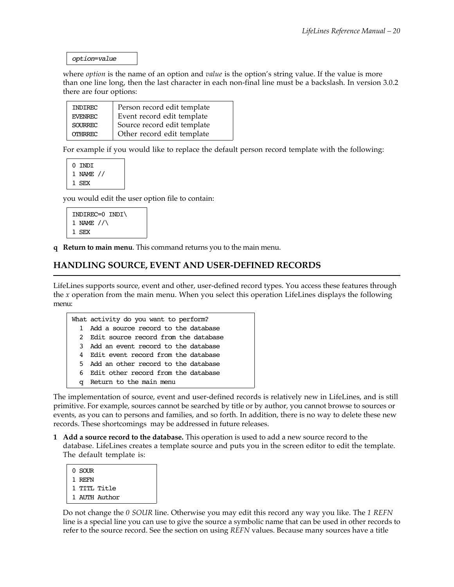*option*=*value*

where *option* is the name of an option and *value* is the option's string value. If the value is more than one line long, then the last character in each non-final line must be a backslash. In version 3.0.2 there are four options:

| INDIREC        | Person record edit template |
|----------------|-----------------------------|
| <b>EVENREC</b> | Event record edit template  |
| <b>SOURREC</b> | Source record edit template |
| OTHRREC        | Other record edit template  |

For example if you would like to replace the default person record template with the following:

0 INDI 1 NAME // 1 SEX

you would edit the user option file to contain:

```
INDIREC=0 INDI\
1 NAME //\
1 SEX
```
**q Return to main menu**. This command returns you to the main menu.

#### **HANDLING SOURCE, EVENT AND USER-DEFINED RECORDS**

LifeLines supports source, event and other, user-defined record types. You access these features through the *x* operation from the main menu. When you select this operation LifeLines displays the following menu:

|     | What activity do you want to perform?  |
|-----|----------------------------------------|
|     | 1 Add a source record to the database  |
|     | 2 Edit source record from the database |
|     | 3 Add an event record to the database  |
| 4   | Edit event record from the database    |
| 5.  | Add an other record to the database    |
| რ — | Edit other record from the database    |
| σ   | Return to the main menu                |

The implementation of source, event and user-defined records is relatively new in LifeLines, and is still primitive. For example, sources cannot be searched by title or by author, you cannot browse to sources or events, as you can to persons and families, and so forth. In addition, there is no way to delete these new records. These shortcomings may be addressed in future releases.

**1 Add a source record to the database.** This operation is used to add a new source record to the database. LifeLines creates a template source and puts you in the screen editor to edit the template. The default template is:

| 0 SOUR |               |
|--------|---------------|
| 1 REFN |               |
|        | 1 TITL Title  |
|        | 1 AUTH Author |

Do not change the *0 SOUR* line. Otherwise you may edit this record any way you like. The *1 REFN* line is a special line you can use to give the source a symbolic name that can be used in other records to refer to the source record. See the section on using *REFN* values. Because many sources have a title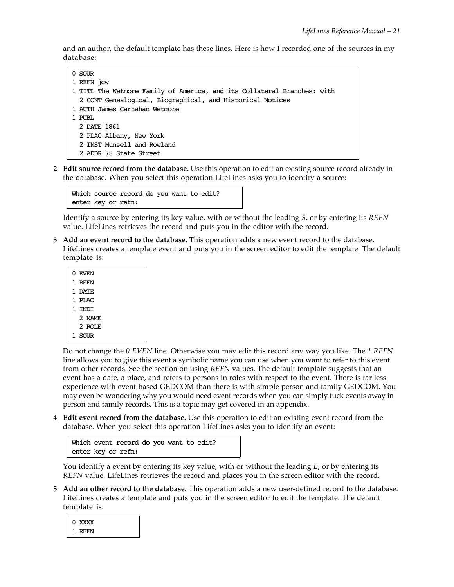and an author, the default template has these lines. Here is how I recorded one of the sources in my database:

```
0.50UR
1 REFN jcw
1 TITL The Wetmore Family of America, and its Collateral Branches: with
   2 CONT Genealogical, Biographical, and Historical Notices
1 AUTH James Carnahan Wetmore
1 PUBL
   2 DATE 1861
   2 PLAC Albany, New York
   2 INST Munsell and Rowland
   2 ADDR 78 State Street
```
**2 Edit source record from the database.** Use this operation to edit an existing source record already in the database. When you select this operation LifeLines asks you to identify a source:

```
Which source record do you want to edit?
enter key or refn:
```
Identify a source by entering its key value, with or without the leading *S*, or by entering its *REFN* value. LifeLines retrieves the record and puts you in the editor with the record.

**3 Add an event record to the database.** This operation adds a new event record to the database. LifeLines creates a template event and puts you in the screen editor to edit the template. The default template is:

| 0 EVEN  |
|---------|
| 1 REFN  |
| 1 DATE  |
| 1 PT.AC |
| 1 TNDT  |
| 2 NAME  |
| 2 ROLE  |
| SOUR    |
|         |

Do not change the *0 EVEN* line. Otherwise you may edit this record any way you like. The *1 REFN* line allows you to give this event a symbolic name you can use when you want to refer to this event from other records. See the section on using *REFN* values. The default template suggests that an event has a date, a place, and refers to persons in roles with respect to the event. There is far less experience with event-based GEDCOM than there is with simple person and family GEDCOM. You may even be wondering why you would need event records when you can simply tuck events away in person and family records. This is a topic may get covered in an appendix.

**4 Edit event record from the database.** Use this operation to edit an existing event record from the database. When you select this operation LifeLines asks you to identify an event:

```
Which event record do you want to edit?
enter key or refn:
```
You identify a event by entering its key value, with or without the leading *E*, or by entering its *REFN* value. LifeLines retrieves the record and places you in the screen editor with the record.

**5 Add an other record to the database.** This operation adds a new user-defined record to the database. LifeLines creates a template and puts you in the screen editor to edit the template. The default template is:

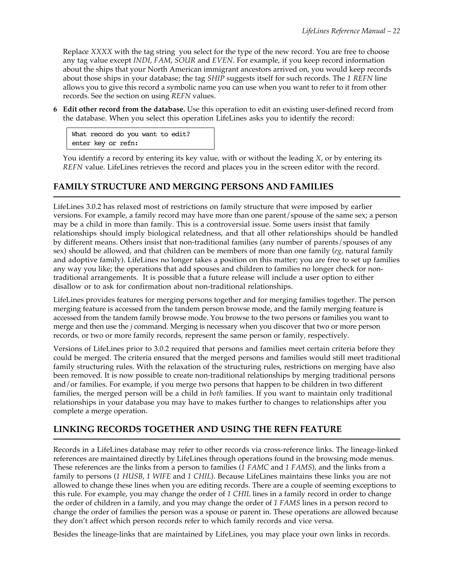Replace *XXXX* with the tag string you select for the type of the new record. You are free to choose any tag value except *INDI*, *FAM*, *SOUR* and *EVEN*. For example, if you keep record information about the ships that your North American immigrant ancestors arrived on, you would keep records about those ships in your database; the tag *SHIP* suggests itself for such records. The *1 REFN* line allows you to give this record a symbolic name you can use when you want to refer to it from other records. See the section on using *REFN* values.

**6 Edit other record from the database.** Use this operation to edit an existing user-defined record from the database. When you select this operation LifeLines asks you to identify the record:

What record do you want to edit? enter key or refn:

You identify a record by entering its key value, with or without the leading *X*, or by entering its *REFN* value. LifeLines retrieves the record and places you in the screen editor with the record.

## **FAMILY STRUCTURE AND MERGING PERSONS AND FAMILIES**

LifeLines 3.0.2 has relaxed most of restrictions on family structure that were imposed by earlier versions. For example, a family record may have more than one parent/spouse of the same sex; a person may be a child in more than family. This is a controversial issue. Some users insist that family relationships should imply biological relatedness, and that all other relationships should be handled by different means. Others insist that non-traditional families (any number of parents/spouses of any sex) should be allowed, and that children can be members of more than one family (*eg*, natural family and adoptive family). LifeLines no longer takes a position on this matter; you are free to set up families any way you like; the operations that add spouses and children to families no longer check for nontraditional arrangements. It is possible that a future release will include a user option to either disallow or to ask for confirmation about non-traditional relationships.

LifeLines provides features for merging persons together and for merging families together. The person merging feature is accessed from the tandem person browse mode, and the family merging feature is accessed from the tandem family browse mode. You browse to the two persons or families you want to merge and then use the *j* command. Merging is necessary when you discover that two or more person records, or two or more family records, represent the same person or family, respectively.

Versions of LifeLines prior to 3.0.2 required that persons and families meet certain criteria before they could be merged. The criteria ensured that the merged persons and families would still meet traditional family structuring rules. With the relaxation of the structuring rules, restrictions on merging have also been removed. It is now possible to create non-traditional relationships by merging traditional persons and/or families. For example, if you merge two persons that happen to be children in two different families, the merged person will be a child in *both* families. If you want to maintain only traditional relationships in your database you may have to makes further to changes to relationships after you complete a merge operation.

## **LINKING RECORDS TOGETHER AND USING THE REFN FEATURE**

Records in a LifeLines database may refer to other records via cross-reference links. The lineage-linked references are maintained directly by LifeLines through operations found in the browsing mode menus. These references are the links from a person to families (*1 FAMC* and *1 FAMS*), and the links from a family to persons (*1 HUSB*, *1 WIFE* and *1 CHIL*). Because LifeLines maintains these links you are not allowed to change these lines when you are editing records. There are a couple of seeming exceptions to this rule. For example, you may change the order of *1 CHIL* lines in a family record in order to change the order of children in a family, and you may change the order of *1 FAMS* lines in a person record to change the order of families the person was a spouse or parent in. These operations are allowed because they don't affect which person records refer to which family records and vice versa.

Besides the lineage-links that are maintained by LifeLines, you may place your own links in records.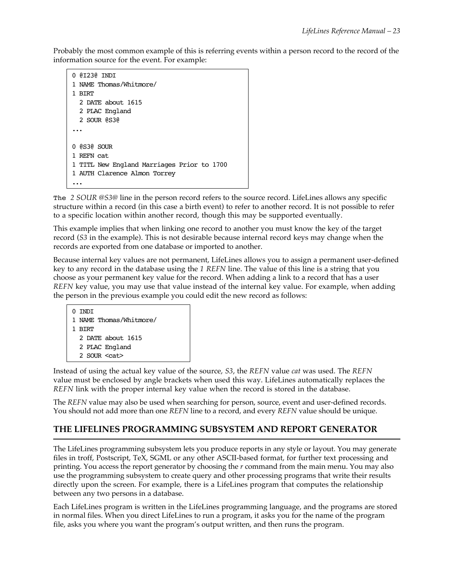Probably the most common example of this is referring events within a person record to the record of the information source for the event. For example:

```
0 @I23@ INDI
1 NAME Thomas/Whitmore/
1 BIRT
   2 DATE about 1615
  2 PLAC England
  2 SOUR @S3@
...
0 @S3@ SOUR
1 REFN cat
1 TITL New England Marriages Prior to 1700
1 AUTH Clarence Almon Torrey
...
```
The *2 SOUR @S3@* line in the person record refers to the source record. LifeLines allows any specific structure within a record (in this case a birth event) to refer to another record. It is not possible to refer to a specific location within another record, though this may be supported eventually.

This example implies that when linking one record to another you must know the key of the target record (*S3* in the example). This is not desirable because internal record keys may change when the records are exported from one database or imported to another.

Because internal key values are not permanent, LifeLines allows you to assign a permanent user-defined key to any record in the database using the *1 REFN* line. The value of this line is a string that you choose as your permanent key value for the record. When adding a link to a record that has a user *REFN* key value, you may use that value instead of the internal key value. For example, when adding the person in the previous example you could edit the new record as follows:

```
0 INDI
1 NAME Thomas/Whitmore/
1 BIRT
   2 DATE about 1615
   2 PLAC England
  2 SOUR <cat>
```
Instead of using the actual key value of the source, *S3*, the *REFN* value *cat* was used. The *REFN* value must be enclosed by angle brackets when used this way. LifeLines automatically replaces the *REFN* link with the proper internal key value when the record is stored in the database.

The *REFN* value may also be used when searching for person, source, event and user-defined records. You should not add more than one *REFN* line to a record, and every *REFN* value should be unique.

## **THE LIFELINES PROGRAMMING SUBSYSTEM AND REPORT GENERATOR**

The LifeLines programming subsystem lets you produce reports in any style or layout. You may generate files in troff, Postscript, TeX, SGML or any other ASCII-based format, for further text processing and printing. You access the report generator by choosing the *r* command from the main menu. You may also use the programming subsystem to create query and other processing programs that write their results directly upon the screen. For example, there is a LifeLines program that computes the relationship between any two persons in a database.

Each LifeLines program is written in the LifeLines programming language, and the programs are stored in normal files. When you direct LifeLines to run a program, it asks you for the name of the program file, asks you where you want the program's output written, and then runs the program.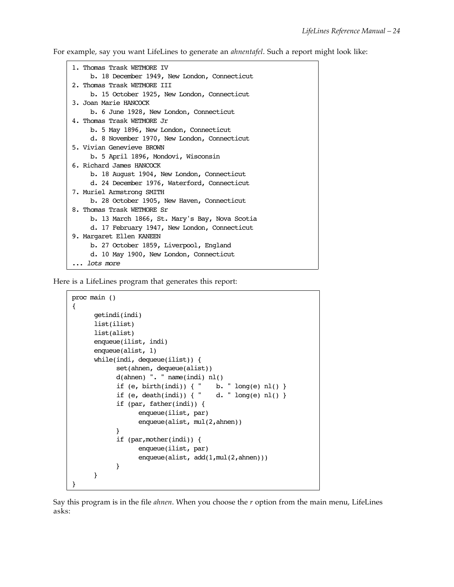For example, say you want LifeLines to generate an *ahnentafel*. Such a report might look like:

```
1. Thomas Trask WETMORE IV
     b. 18 December 1949, New London, Connecticut
2. Thomas Trask WETMORE III
     b. 15 October 1925, New London, Connecticut
3. Joan Marie HANCOCK
     b. 6 June 1928, New London, Connecticut
4. Thomas Trask WETMORE Jr
     b. 5 May 1896, New London, Connecticut
      d. 8 November 1970, New London, Connecticut
5. Vivian Genevieve BROWN
     b. 5 April 1896, Mondovi, Wisconsin
6. Richard James HANCOCK
     b. 18 August 1904, New London, Connecticut
      d. 24 December 1976, Waterford, Connecticut
7. Muriel Armstrong SMITH
     b. 28 October 1905, New Haven, Connecticut
8. Thomas Trask WETMORE Sr
     b. 13 March 1866, St. Mary's Bay, Nova Scotia
      d. 17 February 1947, New London, Connecticut
9. Margaret Ellen KANEEN
     b. 27 October 1859, Liverpool, England
      d. 10 May 1900, New London, Connecticut
... lots more
```
Here is a LifeLines program that generates this report:

```
proc main ()
{
       getindi(indi)
       list(ilist)
       list(alist)
       enqueue(ilist, indi)
       enqueue(alist, 1)
       while(indi, dequeue(ilist)) {
             set(ahnen, dequeue(alist))
             d(ahnen) ". " name(indi) nl()
            if (e, birth(indi)) { " b. " long(e) nl() }
            if (e, death(int)) { " d. " long(e) nl() }
             if (par, father(indi)) {
                  enqueue(ilist, par)
                  enqueue(alist, mul(2,ahnen))
 }
             if (par,mother(indi)) {
                  enqueue(ilist, par)
                  enqueue(alist, add(1,mul(2,ahnen)))
 }
       }
}
```
Say this program is in the file *ahnen*. When you choose the *r* option from the main menu, LifeLines asks: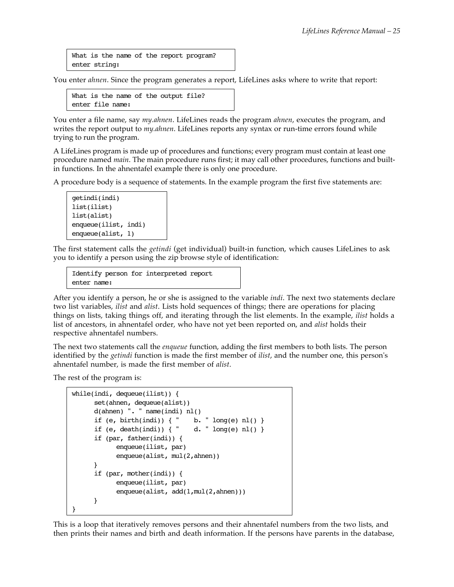What is the name of the report program? enter string:

You enter *ahnen*. Since the program generates a report, LifeLines asks where to write that report:

What is the name of the output file? enter file name:

You enter a file name, say *my.ahnen*. LifeLines reads the program *ahnen*, executes the program, and writes the report output to *my.ahnen*. LifeLines reports any syntax or run-time errors found while trying to run the program.

A LifeLines program is made up of procedures and functions; every program must contain at least one procedure named *main*. The main procedure runs first; it may call other procedures, functions and builtin functions. In the ahnentafel example there is only one procedure.

A procedure body is a sequence of statements. In the example program the first five statements are:

```
getindi(indi)
list(ilist)
list(alist)
enqueue(ilist, indi)
enqueue(alist, 1)
```
The first statement calls the *getindi* (get individual) built-in function, which causes LifeLines to ask you to identify a person using the zip browse style of identification:

Identify person for interpreted report enter name:

After you identify a person, he or she is assigned to the variable *indi*. The next two statements declare two list variables, *ilist* and *alist*. Lists hold sequences of things; there are operations for placing things on lists, taking things off, and iterating through the list elements. In the example, *ilist* holds a list of ancestors, in ahnentafel order, who have not yet been reported on, and *alist* holds their respective ahnentafel numbers.

The next two statements call the *enqueue* function, adding the first members to both lists. The person identified by the *getindi* function is made the first member of *ilist*, and the number one, this person's ahnentafel number, is made the first member of *alist*.

The rest of the program is:

```
while(indi, dequeue(ilist)) {
       set(ahnen, dequeue(alist))
       d(ahnen) ". " name(indi) nl()
      if (e, birth(indi)) { " b. " long(e) nl() }
      if (e, death(int)) { " d. " long(e) nl() }
       if (par, father(indi)) {
             enqueue(ilist, par)
             enqueue(alist, mul(2,ahnen))
       }
       if (par, mother(indi)) {
             enqueue(ilist, par)
            enqueue(alist, add(1,mul(2,ahnen)))
       }
}
```
This is a loop that iteratively removes persons and their ahnentafel numbers from the two lists, and then prints their names and birth and death information. If the persons have parents in the database,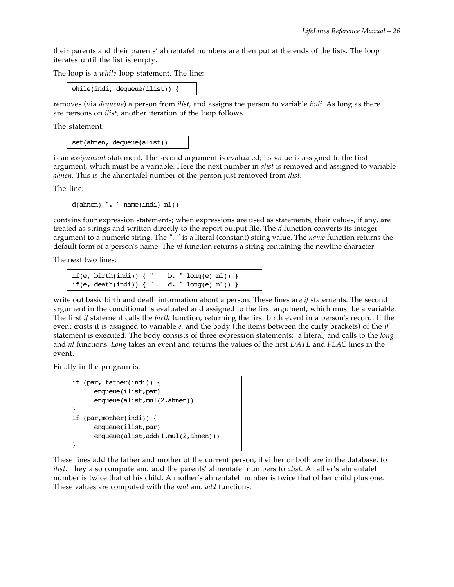their parents and their parents' ahnentafel numbers are then put at the ends of the lists. The loop iterates until the list is empty.

The loop is a *while* loop statement. The line:

while(indi, dequeue(ilist)) {

removes (via *dequeue*) a person from *ilist*, and assigns the person to variable *indi*. As long as there are persons on *ilist*, another iteration of the loop follows.

The statement:

set(ahnen, dequeue(alist))

is an *assignment* statement. The second argument is evaluated; its value is assigned to the first argument, which must be a variable. Here the next number in *alist* is removed and assigned to variable *ahnen*. This is the ahnentafel number of the person just removed from *ilist*.

The line:

d(ahnen) ". " name(indi) nl()

contains four expression statements; when expressions are used as statements, their values, if any, are treated as strings and written directly to the report output file. The *d* function converts its integer argument to a numeric string. The *". "* is a literal (constant) string value. The *name* function returns the default form of a person's name. The *nl* function returns a string containing the newline character.

The next two lines:

```
if(e, birth(indi)) { " b. " long(e) nl() }
if(e, death(indi)) { " d. " long(e) nl() }
```
write out basic birth and death information about a person. These lines are *if* statements. The second argument in the conditional is evaluated and assigned to the first argument, which must be a variable. The first *if* statement calls the *birth* function, returning the first birth event in a person's record. If the event exists it is assigned to variable *e*, and the body (the items between the curly brackets) of the *if* statement is executed. The body consists of three expression statements: a literal, and calls to the *long* and *nl* functions. *Long* takes an event and returns the values of the first *DATE* and *PLAC* lines in the event.

Finally in the program is:

```
if (par, father(indi)) {
       enqueue(ilist,par)
      enqueue(alist,mul(2,ahnen))
}
if (par,mother(indi)) {
       enqueue(ilist,par)
      enqueue(alist,add(1,mul(2,ahnen)))
}
```
These lines add the father and mother of the current person, if either or both are in the database, to *ilist*. They also compute and add the parents' ahnentafel numbers to *alist*. A father's ahnentafel number is twice that of his child. A mother's ahnentafel number is twice that of her child plus one. These values are computed with the *mul* and *add* functions.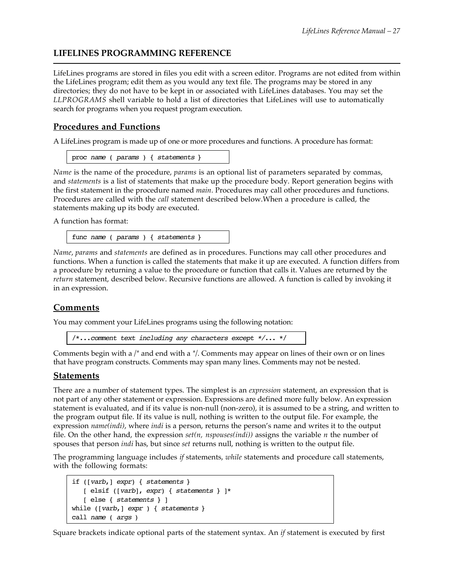## **LIFELINES PROGRAMMING REFERENCE**

LifeLines programs are stored in files you edit with a screen editor. Programs are not edited from within the LifeLines program; edit them as you would any text file. The programs may be stored in any directories; they do not have to be kept in or associated with LifeLines databases. You may set the *LLPROGRAMS* shell variable to hold a list of directories that LifeLines will use to automatically search for programs when you request program execution.

#### **Procedures and Functions**

A LifeLines program is made up of one or more procedures and functions. A procedure has format:

```
proc name ( params ) { statements }
```
*Name* is the name of the procedure, *params* is an optional list of parameters separated by commas, and *statements* is a list of statements that make up the procedure body. Report generation begins with the first statement in the procedure named *main*. Procedures may call other procedures and functions. Procedures are called with the *call* statement described below.When a procedure is called, the statements making up its body are executed.

A function has format:

func *name* ( *params* ) { *statements* }

*Name*, *params* and *statements* are defined as in procedures. Functions may call other procedures and functions. When a function is called the statements that make it up are executed. A function differs from a procedure by returning a value to the procedure or function that calls it. Values are returned by the *return* statement, described below. Recursive functions are allowed. A function is called by invoking it in an expression.

## **Comments**

You may comment your LifeLines programs using the following notation:

/\*...*comment text including any characters except \*/*... \*/

Comments begin with a */\** and end with a *\*/*. Comments may appear on lines of their own or on lines that have program constructs. Comments may span many lines. Comments may not be nested.

#### **Statements**

There are a number of statement types. The simplest is an *expression* statement, an expression that is not part of any other statement or expression. Expressions are defined more fully below. An expression statement is evaluated, and if its value is non-null (non-zero), it is assumed to be a string, and written to the program output file. If its value is null, nothing is written to the output file. For example, the expression *name(indi)*, where *indi* is a person, returns the person's name and writes it to the output file. On the other hand, the expression *set(n, nspouses(indi))* assigns the variable *n* the number of spouses that person *indi* has, but since *set* returns null, nothing is written to the output file.

The programming language includes *if* statements, *while* statements and procedure call statements, with the following formats:

```
if ([varb,] expr) { statements }
    [ elsif ([varb], expr) { statements } ]*
    [ else { statements } ]
while ([varb,] expr ) { statements }
call name ( args )
```
Square brackets indicate optional parts of the statement syntax. An *if* statement is executed by first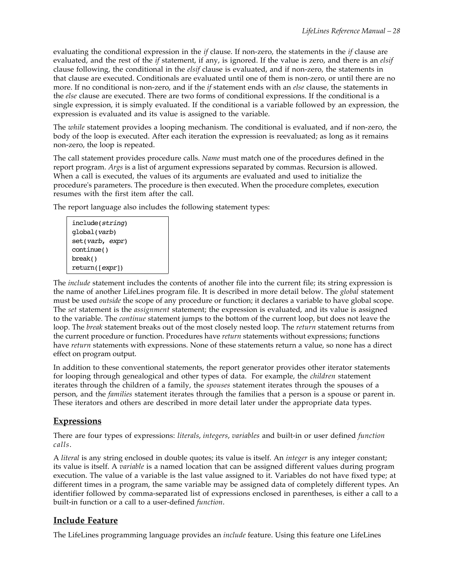evaluating the conditional expression in the *if* clause. If non-zero, the statements in the *if* clause are evaluated, and the rest of the *if* statement, if any, is ignored. If the value is zero, and there is an *elsif* clause following, the conditional in the *elsif* clause is evaluated, and if non-zero, the statements in that clause are executed. Conditionals are evaluated until one of them is non-zero, or until there are no more. If no conditional is non-zero, and if the *if* statement ends with an *else* clause, the statements in the *else* clause are executed. There are two forms of conditional expressions. If the conditional is a single expression, it is simply evaluated. If the conditional is a variable followed by an expression, the expression is evaluated and its value is assigned to the variable.

The *while* statement provides a looping mechanism. The conditional is evaluated, and if non-zero, the body of the loop is executed. After each iteration the expression is reevaluated; as long as it remains non-zero, the loop is repeated.

The call statement provides procedure calls. *Name* must match one of the procedures defined in the report program. *Args* is a list of argument expressions separated by commas. Recursion is allowed. When a call is executed, the values of its arguments are evaluated and used to initialize the procedure's parameters. The procedure is then executed. When the procedure completes, execution resumes with the first item after the call.

The report language also includes the following statement types:

| include(string)       |  |
|-----------------------|--|
| qlobal( <i>varb</i> ) |  |
| set(varb, expr)       |  |
| continue()            |  |
| break()               |  |
| return([expr])        |  |

The *include* statement includes the contents of another file into the current file; its string expression is the name of another LifeLines program file. It is described in more detail below. The *global* statement must be used *outside* the scope of any procedure or function; it declares a variable to have global scope. The *set* statement is the *assignment* statement; the expression is evaluated, and its value is assigned to the variable. The *continue* statement jumps to the bottom of the current loop, but does not leave the loop. The *break* statement breaks out of the most closely nested loop. The *return* statement returns from the current procedure or function. Procedures have *return* statements without expressions; functions have *return* statements with expressions. None of these statements return a value, so none has a direct effect on program output.

In addition to these conventional statements, the report generator provides other iterator statements for looping through genealogical and other types of data. For example, the *children* statement iterates through the children of a family, the *spouses* statement iterates through the spouses of a person, and the *families* statement iterates through the families that a person is a spouse or parent in. These iterators and others are described in more detail later under the appropriate data types.

## **Expressions**

There are four types of expressions: *literals*, *integers*, *variables* and built-in or user defined *function calls*.

A *literal* is any string enclosed in double quotes; its value is itself. An *integer* is any integer constant; its value is itself. A *variable* is a named location that can be assigned different values during program execution. The value of a variable is the last value assigned to it. Variables do not have fixed type; at different times in a program, the same variable may be assigned data of completely different types. An identifier followed by comma-separated list of expressions enclosed in parentheses, is either a call to a built-in function or a call to a user-defined *function*.

## **Include Feature**

The LifeLines programming language provides an *include* feature. Using this feature one LifeLines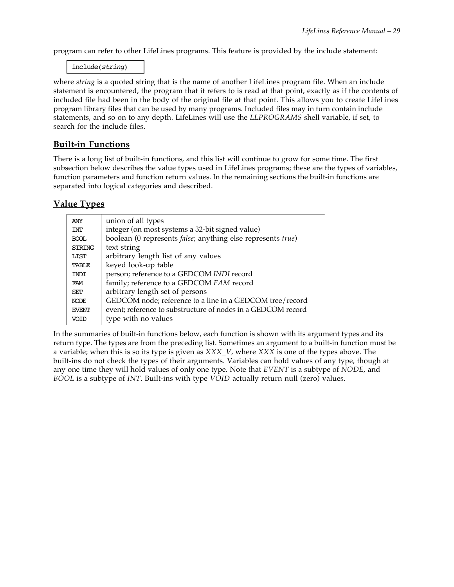program can refer to other LifeLines programs. This feature is provided by the include statement:

include(*string*)

where *string* is a quoted string that is the name of another LifeLines program file. When an include statement is encountered, the program that it refers to is read at that point, exactly as if the contents of included file had been in the body of the original file at that point. This allows you to create LifeLines program library files that can be used by many programs. Included files may in turn contain include statements, and so on to any depth. LifeLines will use the *LLPROGRAMS* shell variable, if set, to search for the include files.

## **Built-in Functions**

There is a long list of built-in functions, and this list will continue to grow for some time. The first subsection below describes the value types used in LifeLines programs; these are the types of variables, function parameters and function return values. In the remaining sections the built-in functions are separated into logical categories and described.

## **Value Types**

| union of all types                                                  |
|---------------------------------------------------------------------|
| integer (on most systems a 32-bit signed value)                     |
| boolean (0 represents <i>false</i> ; anything else represents true) |
| text string                                                         |
| arbitrary length list of any values                                 |
| keyed look-up table                                                 |
| person; reference to a GEDCOM INDI record                           |
| family; reference to a GEDCOM FAM record                            |
| arbitrary length set of persons                                     |
| GEDCOM node; reference to a line in a GEDCOM tree/record            |
| event; reference to substructure of nodes in a GEDCOM record        |
| type with no values                                                 |
|                                                                     |

In the summaries of built-in functions below, each function is shown with its argument types and its return type. The types are from the preceding list. Sometimes an argument to a built-in function must be a variable; when this is so its type is given as *XXX\_V*, where *XXX* is one of the types above. The built-ins do not check the types of their arguments. Variables can hold values of any type, though at any one time they will hold values of only one type. Note that *EVENT* is a subtype of *NODE*, and *BOOL* is a subtype of *INT*. Built-ins with type *VOID* actually return null (zero) values.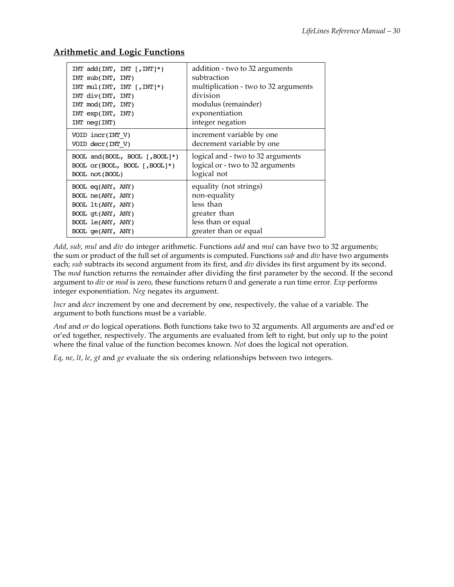## **Arithmetic and Logic Functions**

| INT $add(INT, INT[, INT]$ *)        | addition - two to 32 arguments       |
|-------------------------------------|--------------------------------------|
| $INT \text{sub(TNT, INT)}$          | subtraction                          |
| INT $mul(INT, INT[, INT]$ *)        | multiplication - two to 32 arguments |
| INT $div(INT, INT)$                 | division                             |
| INT mod(INT, INT)                   | modulus (remainder)                  |
| $INT \exp(INT, INT)$                | exponentiation                       |
| INT <sub>neg</sub> (INT)            | integer negation                     |
| VOID incr(INT V)                    | increment variable by one            |
| VOID decr(INT V)                    | decrement variable by one            |
| BOOL and $(BOOL, BOOL   JBOOL   *)$ | logical and - two to 32 arguments    |
| BOOL $or(BOOL, BOOL   BOOL ^*)$     | logical or - two to 32 arguments     |
| BOOL not (BOOL)                     | logical not                          |
| $BOOL$ eq( $ANY$ , $ANY$ )          | equality (not strings)               |
| BOOL ne(ANY, ANY)                   | non-equality                         |
| BOOL 1t(ANY, ANY)                   | less than                            |
| BOOL qt(ANY, ANY)                   | greater than                         |
| BOOL le(ANY, ANY)                   | less than or equal                   |
| $BOOL$ qe( $ANY$ , $ANY$ )          | greater than or equal                |

*Add*, *sub*, *mul* and *div* do integer arithmetic. Functions *add* and *mul* can have two to 32 arguments; the sum or product of the full set of arguments is computed. Functions *sub* and *div* have two arguments each; *sub* subtracts its second argument from its first, and *div* divides its first argument by its second. The *mod* function returns the remainder after dividing the first parameter by the second. If the second argument to *div* or *mod* is zero, these functions return 0 and generate a run time error. *Exp* performs integer exponentiation. *Neg* negates its argument.

*Incr* and *decr* increment by one and decrement by one, respectively, the value of a variable. The argument to both functions must be a variable.

*And* and *or* do logical operations. Both functions take two to 32 arguments. All arguments are and'ed or or'ed together, respectively. The arguments are evaluated from left to right, but only up to the point where the final value of the function becomes known. *Not* does the logical not operation.

*Eq*, *ne*, *lt*, *le*, *gt* and *ge* evaluate the six ordering relationships between two integers.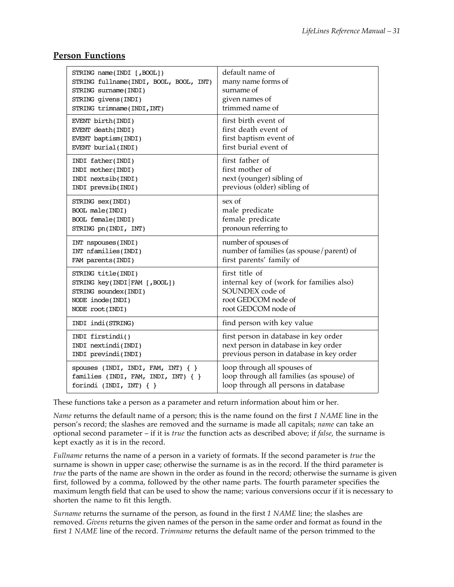| STRING name(INDI [, BOOL])             | default name of                          |
|----------------------------------------|------------------------------------------|
| STRING fullname(INDI, BOOL, BOOL, INT) | many name forms of                       |
| STRING surname(INDI)                   | surname of                               |
| STRING givens (INDI)                   | given names of                           |
| STRING trimname(INDI, INT)             | trimmed name of                          |
| EVENT birth(INDI)                      | first birth event of                     |
| EVENT death(INDI)                      | first death event of                     |
| EVENT baptism(INDI)                    | first baptism event of                   |
| EVENT burial(INDI)                     | first burial event of                    |
| INDI father(INDI)                      | first father of                          |
| INDI mother(INDI)                      | first mother of                          |
| INDI nextsib(INDI)                     | next (younger) sibling of                |
| INDI prevsib(INDI)                     | previous (older) sibling of              |
| STRING Sex(INDI)                       | sex of                                   |
| BOOL male(INDI)                        | male predicate                           |
| BOOL female(INDI)                      | female predicate                         |
| STRING pn(INDI, INT)                   | pronoun referring to                     |
| INT nspouses (INDI)                    | number of spouses of                     |
| INT nfamilies(INDI)                    | number of families (as spouse/parent) of |
| FAM parents (INDI)                     | first parents' family of                 |
| STRING title(INDI)                     | first title of                           |
| STRING key(INDI   FAM [, BOOL])        | internal key of (work for families also) |
| STRING soundex(INDI)                   | SOUNDEX code of                          |
| NODE inode(INDI)                       | root GEDCOM node of                      |
| NODE root(INDI)                        | root GEDCOM node of                      |
| INDI indi(STRING)                      | find person with key value               |
| INDI firstindi()                       | first person in database in key order    |
| INDI nextindi(INDI)                    | next person in database in key order     |
| INDI previndi(INDI)                    | previous person in database in key order |
| spouses (INDI, INDI, FAM, INT) $\{\}$  | loop through all spouses of              |
| families (INDI, FAM, INDI, INT) { }    | loop through all families (as spouse) of |
| forindi (INDI, INT) $\{ \}$            | loop through all persons in database     |

#### **Person Functions**

These functions take a person as a parameter and return information about him or her.

*Name* returns the default name of a person; this is the name found on the first *1 NAME* line in the person's record; the slashes are removed and the surname is made all capitals; *name* can take an optional second parameter – if it is *true* the function acts as described above; if *false*, the surname is kept exactly as it is in the record.

*Fullname* returns the name of a person in a variety of formats. If the second parameter is *true* the surname is shown in upper case; otherwise the surname is as in the record. If the third parameter is *true* the parts of the name are shown in the order as found in the record; otherwise the surname is given first, followed by a comma, followed by the other name parts. The fourth parameter specifies the maximum length field that can be used to show the name; various conversions occur if it is necessary to shorten the name to fit this length.

*Surname* returns the surname of the person, as found in the first *1 NAME* line; the slashes are removed. *Givens* returns the given names of the person in the same order and format as found in the first *1 NAME* line of the record. *Trimname* returns the default name of the person trimmed to the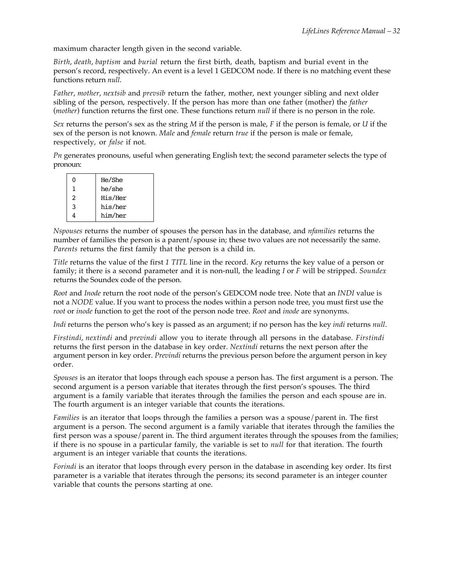maximum character length given in the second variable.

*Birth*, *death*, *baptism* and *burial* return the first birth, death, baptism and burial event in the person's record, respectively. An event is a level 1 GEDCOM node. If there is no matching event these functions return *null*.

*Father*, *mother*, *nextsib* and *prevsib* return the father, mother, next younger sibling and next older sibling of the person, respectively. If the person has more than one father (mother) the *father* (*mother*) function returns the first one. These functions return *null* if there is no person in the role.

*Sex* returns the person's sex as the string *M* if the person is male, *F* if the person is female, or *U* if the sex of the person is not known. *Male* and *female* return *true* if the person is male or female, respectively, or *false* if not.

*Pn* generates pronouns, useful when generating English text; the second parameter selects the type of pronoun:

| ŋ | He/She  |
|---|---------|
| 1 | he/she  |
| 2 | His/Her |
| 3 | his/her |
|   | him/her |
|   |         |

*Nspouses* returns the number of spouses the person has in the database, and *nfamilies* returns the number of families the person is a parent/spouse in; these two values are not necessarily the same. *Parents* returns the first family that the person is a child in.

*Title* returns the value of the first *1 TITL* line in the record. *Key* returns the key value of a person or family; it there is a second parameter and it is non-null, the leading *I* or *F* will be stripped. *Soundex* returns the Soundex code of the person.

*Root* and *Inode* return the root node of the person's GEDCOM node tree. Note that an *INDI* value is not a *NODE* value. If you want to process the nodes within a person node tree, you must first use the *root* or *inode* function to get the root of the person node tree. *Root* and *inode* are synonyms.

*Indi* returns the person who's key is passed as an argument; if no person has the key *indi* returns *null*.

*Firstindi*, *nextindi* and *previndi* allow you to iterate through all persons in the database. *Firstindi* returns the first person in the database in key order. *Nextindi* returns the next person after the argument person in key order. *Previndi* returns the previous person before the argument person in key order.

*Spouses* is an iterator that loops through each spouse a person has. The first argument is a person. The second argument is a person variable that iterates through the first person's spouses. The third argument is a family variable that iterates through the families the person and each spouse are in. The fourth argument is an integer variable that counts the iterations.

*Families* is an iterator that loops through the families a person was a spouse/parent in. The first argument is a person. The second argument is a family variable that iterates through the families the first person was a spouse/parent in. The third argument iterates through the spouses from the families; if there is no spouse in a particular family, the variable is set to *null* for that iteration. The fourth argument is an integer variable that counts the iterations.

*Forindi* is an iterator that loops through every person in the database in ascending key order. Its first parameter is a variable that iterates through the persons; its second parameter is an integer counter variable that counts the persons starting at one.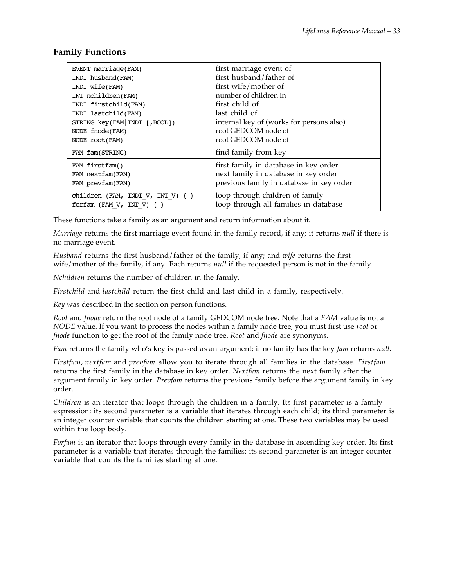## **Family Functions**

| EVENT marriage(FAM)                  | first marriage event of                  |
|--------------------------------------|------------------------------------------|
| INDI husband(FAM)                    | first husband/father of                  |
| INDI wife(FAM)                       | first wife/mother of                     |
| INT nchildren(FAM)                   | number of children in                    |
| INDI firstchild(FAM)                 | first child of                           |
| INDI lastchild(FAM)                  | last child of                            |
| STRING key(FAM INDI [, BOOL])        | internal key of (works for persons also) |
| NODE fnode(FAM)                      | root GEDCOM node of                      |
| NODE root(FAM)                       | root GEDCOM node of                      |
| FAM fam(STRING)                      | find family from key                     |
| FAM firstfam()                       | first family in database in key order    |
| FAM nextfam(FAM)                     | next family in database in key order     |
| FAM prevfam(FAM)                     | previous family in database in key order |
| children (FAM, INDI V, INT V) $\{\}$ | loop through children of family          |
| forfam (FAM V, INT V) $\{ \}$        | loop through all families in database    |

These functions take a family as an argument and return information about it.

*Marriage* returns the first marriage event found in the family record, if any; it returns *null* if there is no marriage event.

*Husband* returns the first husband/father of the family, if any; and *wife* returns the first wife/mother of the family, if any. Each returns *null* if the requested person is not in the family.

*Nchildren* returns the number of children in the family.

*Firstchild* and *lastchild* return the first child and last child in a family, respectively.

*Key* was described in the section on person functions.

*Root* and *fnode* return the root node of a family GEDCOM node tree. Note that a *FAM* value is not a *NODE* value. If you want to process the nodes within a family node tree, you must first use *root* or *fnode* function to get the root of the family node tree. *Root* and *fnode* are synonyms.

*Fam* returns the family who's key is passed as an argument; if no family has the key *fam* returns *null*.

*Firstfam*, *nextfam* and *prevfam* allow you to iterate through all families in the database. *Firstfam* returns the first family in the database in key order. *Nextfam* returns the next family after the argument family in key order. *Prevfam* returns the previous family before the argument family in key order.

*Children* is an iterator that loops through the children in a family. Its first parameter is a family expression; its second parameter is a variable that iterates through each child; its third parameter is an integer counter variable that counts the children starting at one. These two variables may be used within the loop body.

*Forfam* is an iterator that loops through every family in the database in ascending key order. Its first parameter is a variable that iterates through the families; its second parameter is an integer counter variable that counts the families starting at one.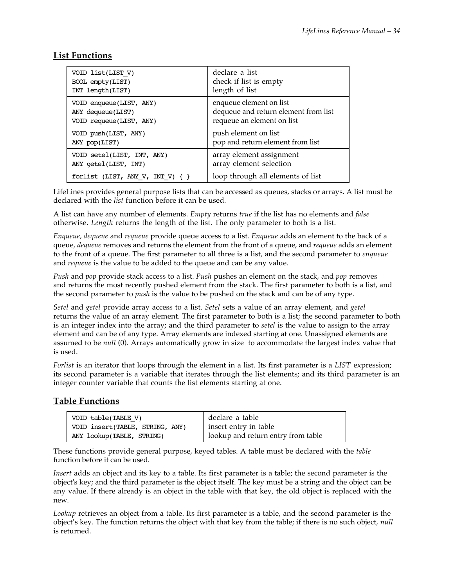## **List Functions**

| VOID list(LIST V)                     | declare a list                       |
|---------------------------------------|--------------------------------------|
| BOOL empty(LIST)                      | check if list is empty               |
| INT length(LIST)                      | length of list                       |
| VOID enqueue(LIST, ANY)               | enqueue element on list              |
| ANY dequeue(LIST)                     | dequeue and return element from list |
| VOID requeue(LIST, ANY)               | requeue an element on list           |
| VOID push(LIST, ANY)                  | push element on list                 |
| ANY pop(LIST)                         | pop and return element from list     |
| VOID setel(LIST, INT, ANY)            | array element assignment             |
| ANY getel(LIST, INT)                  | array element selection              |
| forlist (LIST, ANY V, INT V) $\{\ \}$ | loop through all elements of list    |

LifeLines provides general purpose lists that can be accessed as queues, stacks or arrays. A list must be declared with the *list* function before it can be used.

A list can have any number of elements. *Empty* returns *true* if the list has no elements and *false* otherwise. *Length* returns the length of the list. The only parameter to both is a list.

*Enqueue*, *dequeue* and *requeue* provide queue access to a list. *Enqueue* adds an element to the back of a queue, *dequeue* removes and returns the element from the front of a queue, and *requeue* adds an element to the front of a queue. The first parameter to all three is a list, and the second parameter to *enqueue* and *requeue* is the value to be added to the queue and can be any value.

*Push* and *pop* provide stack access to a list. *Push* pushes an element on the stack, and *pop* removes and returns the most recently pushed element from the stack. The first parameter to both is a list, and the second parameter to *push* is the value to be pushed on the stack and can be of any type.

*Setel* and *getel* provide array access to a list. *Setel* sets a value of an array element, and *getel* returns the value of an array element. The first parameter to both is a list; the second parameter to both is an integer index into the array; and the third parameter to *setel* is the value to assign to the array element and can be of any type. Array elements are indexed starting at one. Unassigned elements are assumed to be *null* (0). Arrays automatically grow in size to accommodate the largest index value that is used.

*Forlist* is an iterator that loops through the element in a list. Its first parameter is a *LIST* expression; its second parameter is a variable that iterates through the list elements; and its third parameter is an integer counter variable that counts the list elements starting at one.

## **Table Functions**

| VOID table(TABLE V)             | declare a table                    |
|---------------------------------|------------------------------------|
| VOID insert(TABLE, STRING, ANY) | insert entry in table              |
| ANY lookup(TABLE, STRING)       | lookup and return entry from table |

These functions provide general purpose, keyed tables. A table must be declared with the *table* function before it can be used.

*Insert* adds an object and its key to a table. Its first parameter is a table; the second parameter is the object's key; and the third parameter is the object itself. The key must be a string and the object can be any value. If there already is an object in the table with that key, the old object is replaced with the new.

*Lookup* retrieves an object from a table. Its first parameter is a table, and the second parameter is the object's key. The function returns the object with that key from the table; if there is no such object, *null* is returned.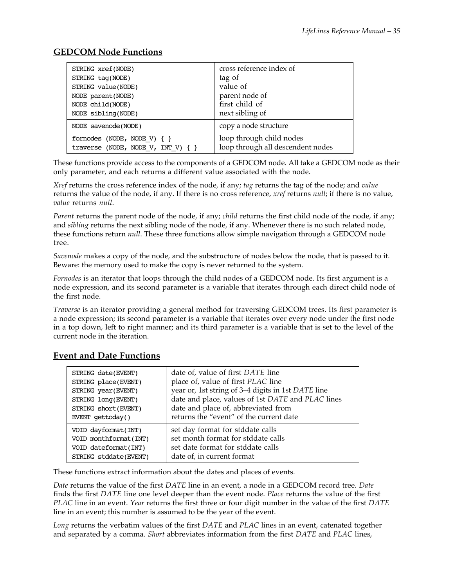## **GEDCOM Node Functions**

| STRING xref(NODE)                                                         | cross reference index of                                      |
|---------------------------------------------------------------------------|---------------------------------------------------------------|
| STRING tag(NODE)                                                          | tag of                                                        |
| STRING value(NODE)                                                        | value of                                                      |
| NODE parent (NODE)                                                        | parent node of                                                |
| NODE child(NODE)                                                          | first child of                                                |
| NODE sibling(NODE)                                                        | next sibling of                                               |
| NODE savenode(NODE)                                                       | copy a node structure                                         |
| fornodes (NODE, NODE V) $\{ \}$<br>traverse (NODE, NODE V, INT V) $\{ \}$ | loop through child nodes<br>loop through all descendent nodes |

These functions provide access to the components of a GEDCOM node. All take a GEDCOM node as their only parameter, and each returns a different value associated with the node.

*Xref* returns the cross reference index of the node, if any; *tag* returns the tag of the node; and *value* returns the value of the node, if any. If there is no cross reference, *xref* returns *null*; if there is no value, *value* returns *null*.

*Parent* returns the parent node of the node, if any; *child* returns the first child node of the node, if any; and *sibling* returns the next sibling node of the node, if any. Whenever there is no such related node, these functions return *null*. These three functions allow simple navigation through a GEDCOM node tree.

*Savenode* makes a copy of the node, and the substructure of nodes below the node, that is passed to it. Beware: the memory used to make the copy is never returned to the system.

*Fornodes* is an iterator that loops through the child nodes of a GEDCOM node. Its first argument is a node expression, and its second parameter is a variable that iterates through each direct child node of the first node.

*Traverse* is an iterator providing a general method for traversing GEDCOM trees. Its first parameter is a node expression; its second parameter is a variable that iterates over every node under the first node in a top down, left to right manner; and its third parameter is a variable that is set to the level of the current node in the iteration.

#### STRING date(EVENT) STRING place(EVENT) STRING year(EVENT) STRING long(EVENT) STRING short(EVENT) EVENT gettoday() date of, value of first *DATE* line place of, value of first *PLAC* line year or, 1st string of 3–4 digits in 1st *DATE* line date and place, values of 1st *DATE* and *PLAC* lines date and place of, abbreviated from returns the "event" of the current date VOID dayformat(INT) VOID monthformat(INT) VOID dateformat(INT) STRING stddate(EVENT) set day format for stddate calls set month format for stddate calls set date format for stddate calls date of, in current format

## **Event and Date Functions**

These functions extract information about the dates and places of events.

*Date* returns the value of the first *DATE* line in an event, a node in a GEDCOM record tree. *Date* finds the first *DATE* line one level deeper than the event node. *Place* returns the value of the first *PLAC* line in an event. *Year* returns the first three or four digit number in the value of the first *DATE* line in an event; this number is assumed to be the year of the event.

*Long* returns the verbatim values of the first *DATE* and *PLAC* lines in an event, catenated together and separated by a comma. *Short* abbreviates information from the first *DATE* and *PLAC* lines,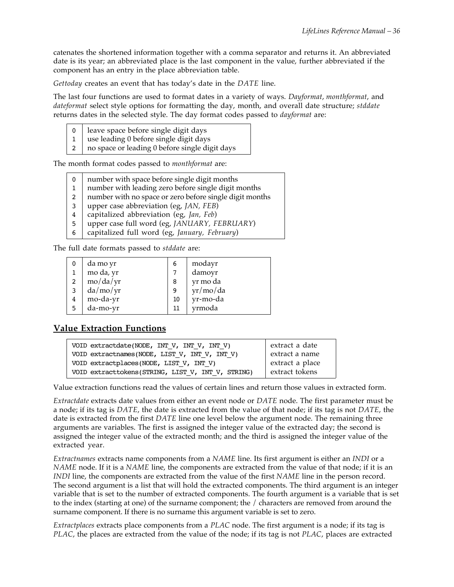catenates the shortened information together with a comma separator and returns it. An abbreviated date is its year; an abbreviated place is the last component in the value, further abbreviated if the component has an entry in the place abbreviation table.

*Gettoday* creates an event that has today's date in the *DATE* line.

The last four functions are used to format dates in a variety of ways. *Dayformat*, *monthformat*, and *dateformat* select style options for formatting the day, month, and overall date structure; *stddate* returns dates in the selected style. The day format codes passed to *dayformat* are:

0 1 2 leave space before single digit days use leading 0 before single digit days

no space or leading 0 before single digit days

The month format codes passed to *monthformat* are:

| $\mathbf{0}$ | number with space before single digit months            |
|--------------|---------------------------------------------------------|
| 1            | number with leading zero before single digit months     |
| 2            | number with no space or zero before single digit months |
| 3            | upper case abbreviation (eg, JAN, FEB)                  |
| 4            | capitalized abbreviation (eg, Jan, Feb)                 |
| 5            | upper case full word (eg, JANUARY, FEBRUARY)            |
| 6            | capitalized full word (eg, January, February)           |
|              |                                                         |

The full date formats passed to *stddate* are:

|   | da mo yr  | 6  | modayr   |
|---|-----------|----|----------|
|   | mo da, yr |    | damoyr   |
| 2 | mo/da/yr  | 8  | yr mo da |
| 3 | da/mol/yr | 9  | yr/mo/da |
| 4 | mo-da-yr  | 10 | yr-mo-da |
| 5 | da-mo-yr  | 11 | yrmoda   |

## **Value Extraction Functions**

| VOID extractdate(NODE, INT V, INT V, INT V)       | extract a date  |
|---------------------------------------------------|-----------------|
| VOID extractnames (NODE, LIST V, INT V, INT V)    | extract a name  |
| VOID extractplaces(NODE, LIST V, INT V)           | extract a place |
| VOID extracttokens(STRING, LIST V, INT V, STRING) | extract tokens  |

Value extraction functions read the values of certain lines and return those values in extracted form.

*Extractdate* extracts date values from either an event node or *DATE* node. The first parameter must be a node; if its tag is *DATE*, the date is extracted from the value of that node; if its tag is not *DATE*, the date is extracted from the first *DATE* line one level below the argument node. The remaining three arguments are variables. The first is assigned the integer value of the extracted day; the second is assigned the integer value of the extracted month; and the third is assigned the integer value of the extracted year.

*Extractnames* extracts name components from a *NAME* line. Its first argument is either an *INDI* or a *NAME* node. If it is a *NAME* line, the components are extracted from the value of that node; if it is an *INDI* line, the components are extracted from the value of the first *NAME* line in the person record. The second argument is a list that will hold the extracted components. The third argument is an integer variable that is set to the number of extracted components. The fourth argument is a variable that is set to the index (starting at one) of the surname component; the / characters are removed from around the surname component. If there is no surname this argument variable is set to zero.

*Extractplaces* extracts place components from a *PLAC* node. The first argument is a node; if its tag is *PLAC*, the places are extracted from the value of the node; if its tag is not *PLAC*, places are extracted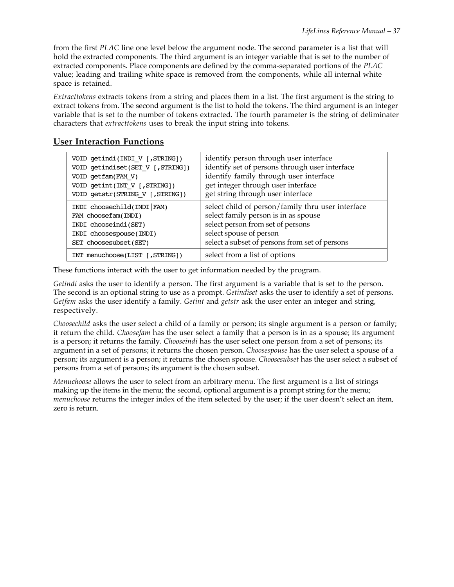from the first *PLAC* line one level below the argument node. The second parameter is a list that will hold the extracted components. The third argument is an integer variable that is set to the number of extracted components. Place components are defined by the comma-separated portions of the *PLAC* value; leading and trailing white space is removed from the components, while all internal white space is retained.

*Extracttokens* extracts tokens from a string and places them in a list. The first argument is the string to extract tokens from. The second argument is the list to hold the tokens. The third argument is an integer variable that is set to the number of tokens extracted. The fourth parameter is the string of deliminater characters that *extracttokens* uses to break the input string into tokens.

#### **User Interaction Functions**

| VOID getindi(INDI V [,STRING])    | identify person through user interface            |
|-----------------------------------|---------------------------------------------------|
| VOID getindiset(SET V [, STRING]) | identify set of persons through user interface    |
| VOID getfam(FAM V)                | identify family through user interface            |
| VOID getint(INT V [, STRING])     | get integer through user interface                |
| VOID getstr(STRING V [,STRING])   | get string through user interface                 |
| INDI choosechild(INDI FAM)        | select child of person/family thru user interface |
| FAM choosefam(INDI)               | select family person is in as spouse              |
| INDI chooseindi(SET)              | select person from set of persons                 |
| INDI choosespouse(INDI)           | select spouse of person                           |
| SET choosesubset (SET)            | select a subset of persons from set of persons    |
| INT menuchoose(LIST [, STRING])   | select from a list of options                     |

These functions interact with the user to get information needed by the program.

*Getindi* asks the user to identify a person. The first argument is a variable that is set to the person. The second is an optional string to use as a prompt. *Getindiset* asks the user to identify a set of persons. *Getfam* asks the user identify a family. *Getint* and *getstr* ask the user enter an integer and string, respectively.

*Choosechild* asks the user select a child of a family or person; its single argument is a person or family; it return the child. *Choosefam* has the user select a family that a person is in as a spouse; its argument is a person; it returns the family. *Chooseindi* has the user select one person from a set of persons; its argument in a set of persons; it returns the chosen person. *Choosespouse* has the user select a spouse of a person; its argument is a person; it returns the chosen spouse. *Choosesubset* has the user select a subset of persons from a set of persons; its argument is the chosen subset.

*Menuchoose* allows the user to select from an arbitrary menu. The first argument is a list of strings making up the items in the menu; the second, optional argument is a prompt string for the menu; *menuchoose* returns the integer index of the item selected by the user; if the user doesn't select an item, zero is return.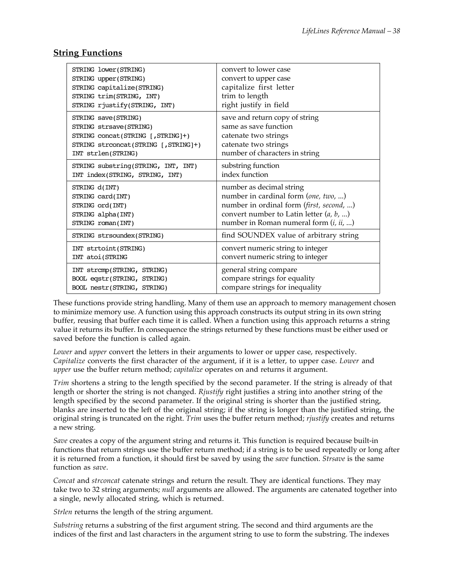## **String Functions**

| STRING lower(STRING)                 | convert to lower case                     |
|--------------------------------------|-------------------------------------------|
| STRING upper (STRING)                | convert to upper case                     |
| STRING capitalize(STRING)            | capitalize first letter                   |
| STRING trim(STRING, INT)             | trim to length                            |
| STRING rjustify(STRING, INT)         | right justify in field                    |
| STRING save(STRING)                  | save and return copy of string            |
| STRING strsave(STRING)               | same as save function                     |
| STRING concat(STRING [, STRING]+)    | catenate two strings                      |
| STRING strconcat(STRING [, STRING]+) | catenate two strings                      |
| INT strlen(STRING)                   | number of characters in string            |
| STRING substring(STRING, INT, INT)   | substring function                        |
| INT index(STRING, STRING, INT)       | index function                            |
| STRING d(INT)                        | number as decimal string                  |
| STRING card(INT)                     | number in cardinal form (one, two, )      |
| STRING ord(INT)                      | number in ordinal form (first, second, )  |
| STRING alpha(INT)                    | convert number to Latin letter $(a, b, )$ |
| STRING roman(INT)                    | number in Roman numeral form $(i, ii, )$  |
| STRING strsoundex(STRING)            | find SOUNDEX value of arbitrary string    |
| INT strtoint(STRING)                 | convert numeric string to integer         |
| INT atoi(STRING                      | convert numeric string to integer         |
| INT strcmp(STRING, STRING)           | general string compare                    |
| BOOL eqstr(STRING, STRING)           | compare strings for equality              |
| BOOL nestr(STRING, STRING)           | compare strings for inequality            |

These functions provide string handling. Many of them use an approach to memory management chosen to minimize memory use. A function using this approach constructs its output string in its own string buffer, reusing that buffer each time it is called. When a function using this approach returns a string value it returns its buffer. In consequence the strings returned by these functions must be either used or saved before the function is called again.

*Lower* and *upper* convert the letters in their arguments to lower or upper case, respectively. *Capitalize* converts the first character of the argument, if it is a letter, to upper case. *Lower* and *upper* use the buffer return method; *capitalize* operates on and returns it argument.

*Trim* shortens a string to the length specified by the second parameter. If the string is already of that length or shorter the string is not changed. *Rjustify* right justifies a string into another string of the length specified by the second parameter. If the original string is shorter than the justified string, blanks are inserted to the left of the original string; if the string is longer than the justified string, the original string is truncated on the right. *Trim* uses the buffer return method; *rjustify* creates and returns a new string.

*Save* creates a copy of the argument string and returns it. This function is required because built-in functions that return strings use the buffer return method; if a string is to be used repeatedly or long after it is returned from a function, it should first be saved by using the *save* function. *Strsave* is the same function as *save*.

*Concat* and *strconcat* catenate strings and return the result. They are identical functions. They may take two to 32 string arguments; *null* arguments are allowed. The arguments are catenated together into a single, newly allocated string, which is returned.

*Strlen* returns the length of the string argument.

*Substring* returns a substring of the first argument string. The second and third arguments are the indices of the first and last characters in the argument string to use to form the substring. The indexes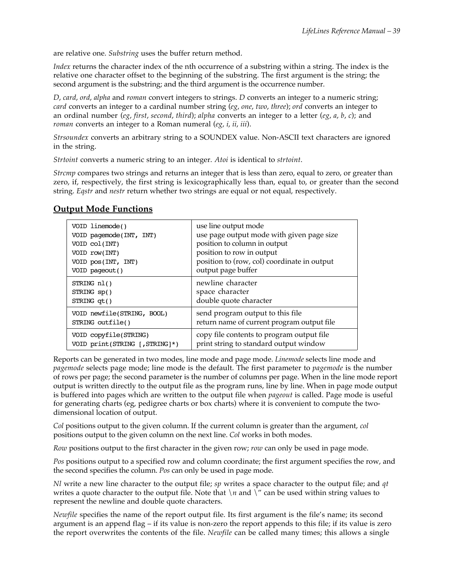are relative one. *Substring* uses the buffer return method.

*Index* returns the character index of the nth occurrence of a substring within a string. The index is the relative one character offset to the beginning of the substring. The first argument is the string; the second argument is the substring; and the third argument is the occurrence number.

*D*, *card*, *ord*, *alpha* and *roman* convert integers to strings. *D* converts an integer to a numeric string; *card* converts an integer to a cardinal number string (*eg*, *one*, *two*, *three*); *ord* converts an integer to an ordinal number (*eg*, *first*, *second*, *third*); *alpha* converts an integer to a letter (*eg*, *a*, *b*, *c*); and *roman* converts an integer to a Roman numeral (*eg*, *i*, *ii*, *iii*).

*Strsoundex* converts an arbitrary string to a SOUNDEX value. Non-ASCII text characters are ignored in the string.

*Strtoint* converts a numeric string to an integer. *Atoi* is identical to *strtoint*.

*Strcmp* compares two strings and returns an integer that is less than zero, equal to zero, or greater than zero, if, respectively, the first string is lexicographically less than, equal to, or greater than the second string. *Eqstr* and *nestr* return whether two strings are equal or not equal, respectively.

| VOID linemode()                | use line output mode                        |
|--------------------------------|---------------------------------------------|
| VOID pagemode(INT, INT)        | use page output mode with given page size   |
| VOID col(INT)                  | position to column in output                |
| VOID row(INT)                  | position to row in output                   |
| VOID pos(INT, INT)             | position to (row, col) coordinate in output |
| VOID pageout()                 | output page buffer                          |
| STRING nl()                    | newline character                           |
| STRING sp()                    | space character                             |
| $STRING$ qt()                  | double quote character                      |
| VOID newfile(STRING, BOOL)     | send program output to this file            |
| STRING outfile()               | return name of current program output file  |
| VOID copyfile(STRING)          | copy file contents to program output file   |
| VOID print(STRING [, STRING]*) | print string to standard output window      |

#### **Output Mode Functions**

Reports can be generated in two modes, line mode and page mode. *Linemode* selects line mode and *pagemode* selects page mode; line mode is the default. The first parameter to *pagemode* is the number of rows per page; the second parameter is the number of columns per page. When in the line mode report output is written directly to the output file as the program runs, line by line. When in page mode output is buffered into pages which are written to the output file when *pageout* is called. Page mode is useful for generating charts (eg, pedigree charts or box charts) where it is convenient to compute the twodimensional location of output.

*Col* positions output to the given column. If the current column is greater than the argument, *col* positions output to the given column on the next line. *Col* works in both modes.

*Row* positions output to the first character in the given row; *row* can only be used in page mode.

*Pos* positions output to a specified row and column coordinate; the first argument specifies the row, and the second specifies the column. *Pos* can only be used in page mode.

*Nl* write a new line character to the output file; *sp* writes a space character to the output file; and *qt* writes a quote character to the output file. Note that  $\ln$  and  $\ln$  can be used within string values to represent the newline and double quote characters.

*Newfile* specifies the name of the report output file. Its first argument is the file's name; its second argument is an append flag – if its value is non-zero the report appends to this file; if its value is zero the report overwrites the contents of the file. *Newfile* can be called many times; this allows a single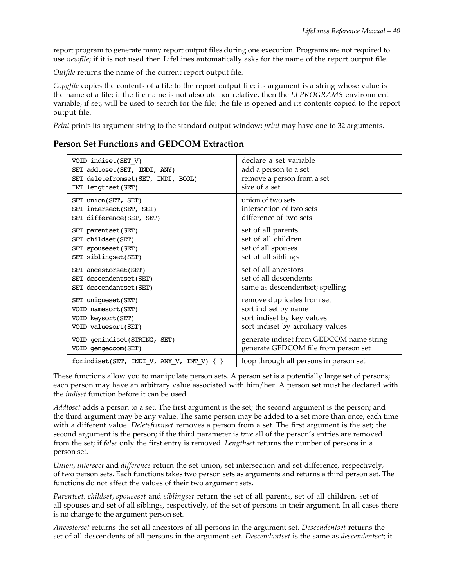report program to generate many report output files during one execution. Programs are not required to use *newfile*; if it is not used then LifeLines automatically asks for the name of the report output file.

*Outfile* returns the name of the current report output file.

*Copyfile* copies the contents of a file to the report output file; its argument is a string whose value is the name of a file; if the file name is not absolute nor relative, then the *LLPROGRAMS* environment variable, if set, will be used to search for the file; the file is opened and its contents copied to the report output file.

*Print* prints its argument string to the standard output window; *print* may have one to 32 arguments.

#### **Person Set Functions and GEDCOM Extraction**

| VOID indiset(SET V)                       | declare a set variable                   |
|-------------------------------------------|------------------------------------------|
| SET addtoset(SET, INDI, ANY)              | add a person to a set                    |
| SET deletefromset(SET, INDI, BOOL)        | remove a person from a set               |
| INT lengthset(SET)                        | size of a set                            |
| SET union(SET, SET)                       | union of two sets                        |
| SET intersect(SET, SET)                   | intersection of two sets                 |
| SET difference(SET, SET)                  | difference of two sets                   |
| SET parentset(SET)                        | set of all parents                       |
| SET childset(SET)                         | set of all children                      |
| SET spouseset (SET)                       | set of all spouses                       |
| SET siblingset(SET)                       | set of all siblings                      |
| SET ancestorset(SET)                      | set of all ancestors                     |
| SET descendentset(SET)                    | set of all descendents                   |
| SET descendantset (SET)                   | same as descendentset; spelling          |
| SET uniqueset (SET)                       | remove duplicates from set               |
| VOID namesort (SET)                       | sort indiset by name                     |
| VOID keysort (SET)                        | sort indiset by key values               |
| VOID valuesort(SET)                       | sort indiset by auxiliary values         |
| VOID genindiset(STRING, SET)              | generate indiset from GEDCOM name string |
| VOID gengedcom(SET)                       | generate GEDCOM file from person set     |
| forindiset(SET, INDI_V, ANY_V, INT_V) { } | loop through all persons in person set   |

These functions allow you to manipulate person sets. A person set is a potentially large set of persons; each person may have an arbitrary value associated with him/her. A person set must be declared with the *indiset* function before it can be used.

*Addtoset* adds a person to a set. The first argument is the set; the second argument is the person; and the third argument may be any value. The same person may be added to a set more than once, each time with a different value. *Deletefromset* removes a person from a set. The first argument is the set; the second argument is the person; if the third parameter is *true* all of the person's entries are removed from the set; if *false* only the first entry is removed. *Lengthset* returns the number of persons in a person set.

*Union*, *intersect* and *difference* return the set union, set intersection and set difference, respectively, of two person sets. Each functions takes two person sets as arguments and returns a third person set. The functions do not affect the values of their two argument sets.

*Parentset*, *childset*, *spouseset* and *siblingset* return the set of all parents, set of all children, set of all spouses and set of all siblings, respectively, of the set of persons in their argument. In all cases there is no change to the argument person set.

*Ancestorset* returns the set all ancestors of all persons in the argument set. *Descendentset* returns the set of all descendents of all persons in the argument set. *Descendantset* is the same as *descendentset*; it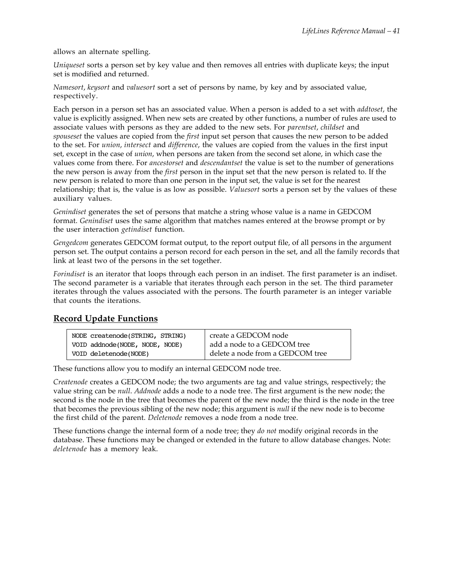allows an alternate spelling.

*Uniqueset* sorts a person set by key value and then removes all entries with duplicate keys; the input set is modified and returned.

*Namesort*, *keysort* and *valuesort* sort a set of persons by name, by key and by associated value, respectively.

Each person in a person set has an associated value. When a person is added to a set with *addtoset*, the value is explicitly assigned. When new sets are created by other functions, a number of rules are used to associate values with persons as they are added to the new sets. For *parentset*, *childset* and *spouseset* the values are copied from the *first* input set person that causes the new person to be added to the set. For *union*, *intersect* and *difference*, the values are copied from the values in the first input set, except in the case of *union*, when persons are taken from the second set alone, in which case the values come from there. For *ancestorset* and *descendantset* the value is set to the number of generations the new person is away from the *first* person in the input set that the new person is related to. If the new person is related to more than one person in the input set, the value is set for the nearest relationship; that is, the value is as low as possible. *Valuesort* sorts a person set by the values of these auxiliary values.

*Genindiset* generates the set of persons that matche a string whose value is a name in GEDCOM format. *Genindiset* uses the same algorithm that matches names entered at the browse prompt or by the user interaction *getindiset* function.

*Gengedcom* generates GEDCOM format output, to the report output file, of all persons in the argument person set. The output contains a person record for each person in the set, and all the family records that link at least two of the persons in the set together.

*Forindiset* is an iterator that loops through each person in an indiset. The first parameter is an indiset. The second parameter is a variable that iterates through each person in the set. The third parameter iterates through the values associated with the persons. The fourth parameter is an integer variable that counts the iterations.

## **Record Update Functions**

| NODE createnode (STRING, STRING) | create a GEDCOM node             |
|----------------------------------|----------------------------------|
| VOID addnode(NODE, NODE, NODE)   | add a node to a GEDCOM tree      |
| VOID deletenode(NODE)            | delete a node from a GEDCOM tree |

These functions allow you to modify an internal GEDCOM node tree.

*Createnode* creates a GEDCOM node; the two arguments are tag and value strings, respectively; the value string can be *null*. *Addnode* adds a node to a node tree. The first argument is the new node; the second is the node in the tree that becomes the parent of the new node; the third is the node in the tree that becomes the previous sibling of the new node; this argument is *null* if the new node is to become the first child of the parent. *Deletenode* removes a node from a node tree.

These functions change the internal form of a node tree; they *do not* modify original records in the database. These functions may be changed or extended in the future to allow database changes. Note: *deletenode* has a memory leak.